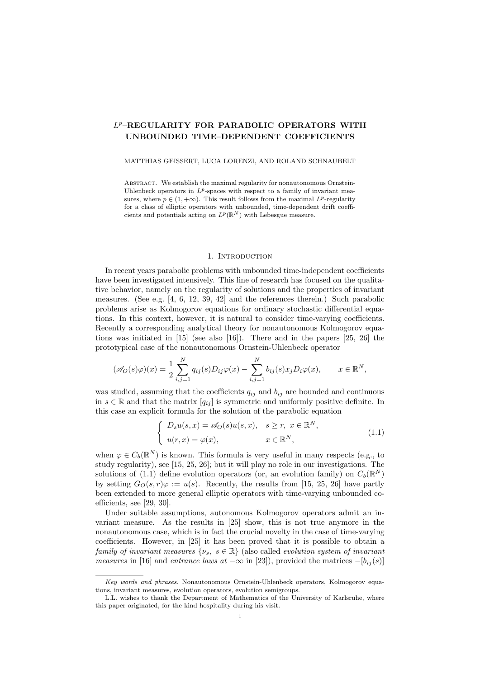# L <sup>p</sup>–REGULARITY FOR PARABOLIC OPERATORS WITH UNBOUNDED TIME–DEPENDENT COEFFICIENTS

#### MATTHIAS GEISSERT, LUCA LORENZI, AND ROLAND SCHNAUBELT

ABSTRACT. We establish the maximal regularity for nonautonomous Ornstein-Uhlenbeck operators in  $L^p$ -spaces with respect to a family of invariant measures, where  $p \in (1, +\infty)$ . This result follows from the maximal  $L^p$ -regularity for a class of elliptic operators with unbounded, time-dependent drift coefficients and potentials acting on  $L^p(\mathbb{R}^N)$  with Lebesgue measure.

## 1. INTRODUCTION

In recent years parabolic problems with unbounded time-independent coefficients have been investigated intensively. This line of research has focused on the qualitative behavior, namely on the regularity of solutions and the properties of invariant measures. (See e.g. [4, 6, 12, 39, 42] and the references therein.) Such parabolic problems arise as Kolmogorov equations for ordinary stochastic differential equations. In this context, however, it is natural to consider time-varying coefficients. Recently a corresponding analytical theory for nonautonomous Kolmogorov equations was initiated in [15] (see also [16]). There and in the papers [25, 26] the prototypical case of the nonautonomous Ornstein-Uhlenbeck operator

$$
(\mathscr{A}_O(s)\varphi)(x) = \frac{1}{2} \sum_{i,j=1}^N q_{ij}(s) D_{ij}\varphi(x) - \sum_{i,j=1}^N b_{ij}(s) x_j D_i \varphi(x), \qquad x \in \mathbb{R}^N,
$$

was studied, assuming that the coefficients  $q_{ij}$  and  $b_{ij}$  are bounded and continuous in  $s \in \mathbb{R}$  and that the matrix  $[q_{ij}]$  is symmetric and uniformly positive definite. In this case an explicit formula for the solution of the parabolic equation

$$
\begin{cases}\nD_s u(s, x) = \mathscr{A}_O(s) u(s, x), & s \ge r, \ x \in \mathbb{R}^N, \\
u(r, x) = \varphi(x), & x \in \mathbb{R}^N,\n\end{cases}
$$
\n(1.1)

when  $\varphi \in C_b(\mathbb{R}^N)$  is known. This formula is very useful in many respects (e.g., to study regularity), see [15, 25, 26]; but it will play no role in our investigations. The solutions of (1.1) define evolution operators (or, an evolution family) on  $C_b(\mathbb{R}^N)$ by setting  $G_O(s, r)\varphi := u(s)$ . Recently, the results from [15, 25, 26] have partly been extended to more general elliptic operators with time-varying unbounded coefficients, see [29, 30].

Under suitable assumptions, autonomous Kolmogorov operators admit an invariant measure. As the results in [25] show, this is not true anymore in the nonautonomous case, which is in fact the crucial novelty in the case of time-varying coefficients. However, in [25] it has been proved that it is possible to obtain a family of invariant measures  $\{\nu_s, s \in \mathbb{R}\}\$  (also called *evolution system of invariant* measures in [16] and entrance laws at  $-\infty$  in [23]), provided the matrices  $-[b_{ij}(s)]$ 

Key words and phrases. Nonautonomous Ornstein-Uhlenbeck operators, Kolmogorov equations, invariant measures, evolution operators, evolution semigroups.

L.L. wishes to thank the Department of Mathematics of the University of Karlsruhe, where this paper originated, for the kind hospitality during his visit.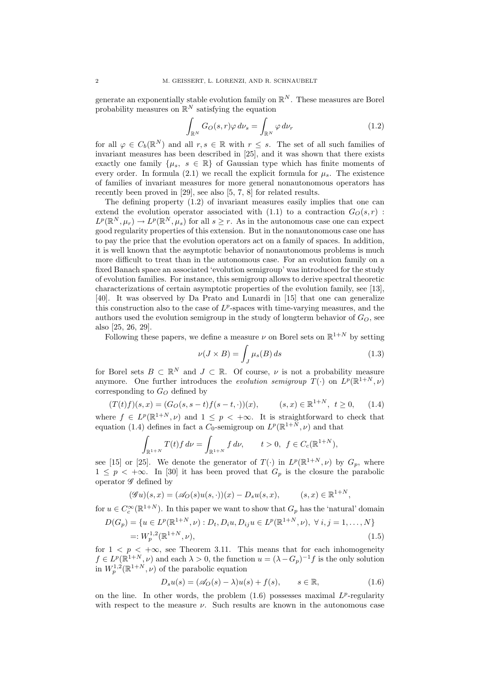generate an exponentially stable evolution family on  $\mathbb{R}^N$ . These measures are Borel probability measures on  $\mathbb{R}^N$  satisfying the equation

$$
\int_{\mathbb{R}^N} G_O(s, r) \varphi \, d\nu_s = \int_{\mathbb{R}^N} \varphi \, d\nu_r \tag{1.2}
$$

for all  $\varphi \in C_b(\mathbb{R}^N)$  and all  $r, s \in \mathbb{R}$  with  $r \leq s$ . The set of all such families of invariant measures has been described in [25], and it was shown that there exists exactly one family  $\{\mu_s, s \in \mathbb{R}\}\$  of Gaussian type which has finite moments of every order. In formula (2.1) we recall the explicit formula for  $\mu_s$ . The existence of families of invariant measures for more general nonautonomous operators has recently been proved in [29], see also [5, 7, 8] for related results.

The defining property (1.2) of invariant measures easily implies that one can extend the evolution operator associated with (1.1) to a contraction  $G_O(s,r)$ :  $L^p(\mathbb{R}^N,\mu_r) \to L^p(\mathbb{R}^N,\mu_s)$  for all  $s \geq r$ . As in the autonomous case one can expect good regularity properties of this extension. But in the nonautonomous case one has to pay the price that the evolution operators act on a family of spaces. In addition, it is well known that the asymptotic behavior of nonautonomous problems is much more difficult to treat than in the autonomous case. For an evolution family on a fixed Banach space an associated 'evolution semigroup' was introduced for the study of evolution families. For instance, this semigroup allows to derive spectral theoretic characterizations of certain asymptotic properties of the evolution family, see [13], [40]. It was observed by Da Prato and Lunardi in [15] that one can generalize this construction also to the case of  $L^p$ -spaces with time-varying measures, and the authors used the evolution semigroup in the study of longterm behavior of  $G_O$ , see also [25, 26, 29].

Following these papers, we define a measure  $\nu$  on Borel sets on  $\mathbb{R}^{1+N}$  by setting

$$
\nu(J \times B) = \int_{J} \mu_{s}(B) ds \qquad (1.3)
$$

for Borel sets  $B \subset \mathbb{R}^N$  and  $J \subset \mathbb{R}$ . Of course,  $\nu$  is not a probability measure anymore. One further introduces the *evolution semigroup*  $T(\cdot)$  on  $L^p(\mathbb{R}^{1+N}, \nu)$ corresponding to  $G_O$  defined by

$$
(T(t)f)(s,x) = (G_O(s, s-t)f(s-t, \cdot))(x), \qquad (s,x) \in \mathbb{R}^{1+N}, \ t \ge 0, \qquad (1.4)
$$
  
where  $f \in L^p(\mathbb{R}^{1+N}, \nu)$  and  $1 \le p < +\infty$ . It is straightforward to check that

equation (1.4) defines in fact a  $C_0$ -semigroup on  $L^p(\mathbb{R}^{1+N}, \nu)$  and that

$$
\int_{\mathbb{R}^{1+N}} T(t)f d\nu = \int_{\mathbb{R}^{1+N}} f d\nu, \qquad t > 0, \ f \in C_c(\mathbb{R}^{1+N}),
$$

see [15] or [25]. We denote the generator of  $T(\cdot)$  in  $L^p(\mathbb{R}^{1+N}, \nu)$  by  $G_p$ , where  $1 \leq p \leq +\infty$ . In [30] it has been proved that  $G_p$  is the closure the parabolic operator  $\mathscr G$  defined by

$$
(\mathscr{G}u)(s,x) = (\mathscr{A}_O(s)u(s,\cdot))(x) - D_s u(s,x), \qquad (s,x) \in \mathbb{R}^{1+N},
$$

for  $u \in C_c^{\infty}(\mathbb{R}^{1+N})$ . In this paper we want to show that  $G_p$  has the 'natural' domain

$$
D(G_p) = \{ u \in L^p(\mathbb{R}^{1+N}, \nu) : D_t, D_i u, D_{ij} u \in L^p(\mathbb{R}^{1+N}, \nu), \ \forall \ i, j = 1, ..., N \}
$$
  
=:  $W_p^{1,2}(\mathbb{R}^{1+N}, \nu),$  (1.5)

for  $1 \leq p \leq +\infty$ , see Theorem 3.11. This means that for each inhomogeneity  $f \in L^p(\mathbb{R}^{1+N}, \nu)$  and each  $\lambda > 0$ , the function  $u = (\lambda - G_p)^{-1} f$  is the only solution in  $W_p^{1,2}(\mathbb{R}^{1+N}, \nu)$  of the parabolic equation

$$
D_s u(s) = (\mathscr{A}_O(s) - \lambda)u(s) + f(s), \qquad s \in \mathbb{R}, \tag{1.6}
$$

on the line. In other words, the problem  $(1.6)$  possesses maximal  $L^p$ -regularity with respect to the measure  $\nu$ . Such results are known in the autonomous case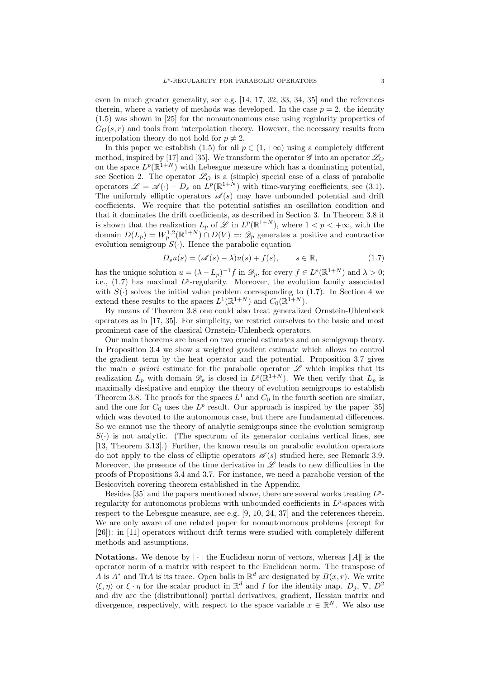even in much greater generality, see e.g. [14, 17, 32, 33, 34, 35] and the references therein, where a variety of methods was developed. In the case  $p = 2$ , the identity (1.5) was shown in [25] for the nonautonomous case using regularity properties of  $G_O(s,r)$  and tools from interpolation theory. However, the necessary results from interpolation theory do not hold for  $p \neq 2$ .

In this paper we establish (1.5) for all  $p \in (1, +\infty)$  using a completely different method, inspired by [17] and [35]. We transform the operator  $\mathscr G$  into an operator  $\mathscr L_O$ on the space  $L^p(\mathbb{R}^{1+N})$  with Lebesgue measure which has a dominating potential, see Section 2. The operator  $\mathscr{L}_O$  is a (simple) special case of a class of parabolic operators  $\mathscr{L} = \mathscr{A}(\cdot) - D_s$  on  $L^p(\mathbb{R}^{1+N})$  with time-varying coefficients, see (3.1). The uniformly elliptic operators  $\mathscr{A}(s)$  may have unbounded potential and drift coefficients. We require that the potential satisfies an oscillation condition and that it dominates the drift coefficients, as described in Section 3. In Theorem 3.8 it is shown that the realization  $L_p$  of  $\mathscr L$  in  $L^p(\mathbb{R}^{1+N})$ , where  $1 < p < +\infty$ , with the domain  $D(L_p) = W_p^{1,2}(\mathbb{R}^{1+N}) \cap D(V) =: \mathscr{D}_p$  generates a positive and contractive evolution semigroup  $S(\cdot)$ . Hence the parabolic equation

$$
D_s u(s) = (\mathscr{A}(s) - \lambda)u(s) + f(s), \qquad s \in \mathbb{R}, \tag{1.7}
$$

has the unique solution  $u = (\lambda - L_p)^{-1} f$  in  $\mathscr{D}_p$ , for every  $f \in L^p(\mathbb{R}^{1+N})$  and  $\lambda > 0$ ; i.e.,  $(1.7)$  has maximal  $L^p$ -regularity. Moreover, the evolution family associated with  $S(\cdot)$  solves the initial value problem corresponding to (1.7). In Section 4 we extend these results to the spaces  $L^1(\mathbb{R}^{1+N})$  and  $C_0(\mathbb{R}^{1+N})$ .

By means of Theorem 3.8 one could also treat generalized Ornstein-Uhlenbeck operators as in [17, 35]. For simplicity, we restrict ourselves to the basic and most prominent case of the classical Ornstein-Uhlenbeck operators.

Our main theorems are based on two crucial estimates and on semigroup theory. In Proposition 3.4 we show a weighted gradient estimate which allows to control the gradient term by the heat operator and the potential. Proposition 3.7 gives the main a priori estimate for the parabolic operator  $\mathscr L$  which implies that its realization  $L_p$  with domain  $\mathscr{D}_p$  is closed in  $L^p(\mathbb{R}^{1+N})$ . We then verify that  $L_p$  is maximally dissipative and employ the theory of evolution semigroups to establish Theorem 3.8. The proofs for the spaces  $L^1$  and  $C_0$  in the fourth section are similar, and the one for  $C_0$  uses the  $L^p$  result. Our approach is inspired by the paper [35] which was devoted to the autonomous case, but there are fundamental differences. So we cannot use the theory of analytic semigroups since the evolution semigroup  $S(\cdot)$  is not analytic. (The spectrum of its generator contains vertical lines, see [13, Theorem 3.13].) Further, the known results on parabolic evolution operators do not apply to the class of elliptic operators  $\mathscr{A}(s)$  studied here, see Remark 3.9. Moreover, the presence of the time derivative in  $\mathscr L$  leads to new difficulties in the proofs of Propositions 3.4 and 3.7. For instance, we need a parabolic version of the Besicovitch covering theorem established in the Appendix.

Besides [35] and the papers mentioned above, there are several works treating  $L^p$ regularity for autonomous problems with unbounded coefficients in  $L^p$ -spaces with respect to the Lebesgue measure, see e.g. [9, 10, 24, 37] and the references therein. We are only aware of one related paper for nonautonomous problems (except for [26]): in [11] operators without drift terms were studied with completely different methods and assumptions.

**Notations.** We denote by  $\|\cdot\|$  the Euclidean norm of vectors, whereas  $\|A\|$  is the operator norm of a matrix with respect to the Euclidean norm. The transpose of A is  $A^*$  and TrA is its trace. Open balls in  $\mathbb{R}^d$  are designated by  $B(x, r)$ . We write  $\langle \xi, \eta \rangle$  or  $\xi \cdot \eta$  for the scalar product in  $\mathbb{R}^d$  and I for the identity map.  $D_j$ ,  $\nabla$ ,  $D^2$ and div are the (distributional) partial derivatives, gradient, Hessian matrix and divergence, respectively, with respect to the space variable  $x \in \mathbb{R}^N$ . We also use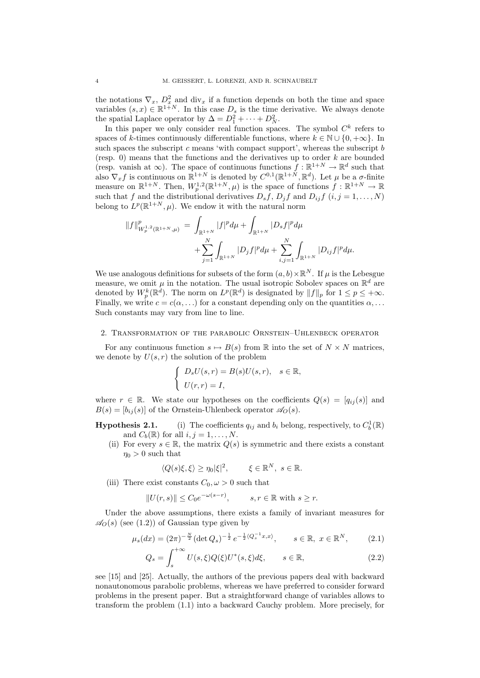the notations  $\nabla_x, D_x^2$  and div<sub>x</sub> if a function depends on both the time and space variables  $(s, x) \in \mathbb{R}^{1+N}$ . In this case  $D_s$  is the time derivative. We always denote the spatial Laplace operator by  $\Delta = D_1^2 + \cdots + D_N^2$ .

In this paper we only consider real function spaces. The symbol  $C<sup>k</sup>$  refers to spaces of k-times continuously differentiable functions, where  $k \in \mathbb{N} \cup \{0, +\infty\}$ . In such spaces the subscript c means 'with compact support', whereas the subscript  $b$ (resp. 0) means that the functions and the derivatives up to order  $k$  are bounded (resp. vanish at  $\infty$ ). The space of continuous functions  $f : \mathbb{R}^{1+N} \to \mathbb{R}^d$  such that also  $\nabla_x f$  is continuous on  $\mathbb{R}^{1+N}$  is denoted by  $C^{0,1}(\mathbb{R}^{1+N}, \mathbb{R}^d)$ . Let  $\mu$  be a  $\sigma$ -finite measure on  $\mathbb{R}^{1+N}$ . Then,  $W_p^{1,2}(\mathbb{R}^{1+N},\mu)$  is the space of functions  $f:\mathbb{R}^{1+N} \to \mathbb{R}$ such that f and the distributional derivatives  $D_s f$ ,  $D_j f$  and  $D_{ij} f$   $(i, j = 1, ..., N)$ belong to  $L^p(\mathbb{R}^{1+N}, \mu)$ . We endow it with the natural norm

$$
||f||_{W_p^{1,2}(\mathbb{R}^{1+N},\mu)}^p = \int_{\mathbb{R}^{1+N}} |f|^p d\mu + \int_{\mathbb{R}^{1+N}} |D_s f|^p d\mu + \sum_{j=1}^N \int_{\mathbb{R}^{1+N}} |D_j f|^p d\mu + \sum_{i,j=1}^N \int_{\mathbb{R}^{1+N}} |D_{ij} f|^p d\mu.
$$

We use analogous definitions for subsets of the form  $(a, b) \times \mathbb{R}^N$ . If  $\mu$  is the Lebesgue measure, we omit  $\mu$  in the notation. The usual isotropic Sobolev spaces on  $\mathbb{R}^d$  are denoted by  $W_p^k(\mathbb{R}^d)$ . The norm on  $L^p(\mathbb{R}^d)$  is designated by  $||f||_p$  for  $1 \leq p \leq +\infty$ . Finally, we write  $c = c(\alpha, \ldots)$  for a constant depending only on the quantities  $\alpha, \ldots$ Such constants may vary from line to line.

### 2. Transformation of the parabolic Ornstein–Uhlenbeck operator

For any continuous function  $s \mapsto B(s)$  from R into the set of  $N \times N$  matrices, we denote by  $U(s, r)$  the solution of the problem

$$
\begin{cases}\nD_s U(s,r) = B(s)U(s,r), & s \in \mathbb{R}, \\
U(r,r) = I,\n\end{cases}
$$

where  $r \in \mathbb{R}$ . We state our hypotheses on the coefficients  $Q(s) = [q_{ij}(s)]$  and  $B(s) = [b_{ij}(s)]$  of the Ornstein-Uhlenbeck operator  $\mathscr{A}_{\mathcal{O}}(s)$ .

**Hypothesis 2.1.** (i) The coefficients  $q_{ij}$  and  $b_i$  belong, respectively, to  $C_b^1(\mathbb{R})$ and  $C_b(\mathbb{R})$  for all  $i, j = 1, \ldots, N$ .

(ii) For every  $s \in \mathbb{R}$ , the matrix  $Q(s)$  is symmetric and there exists a constant  $\eta_0 > 0$  such that

$$
\langle Q(s)\xi,\xi\rangle \geq \eta_0|\xi|^2, \qquad \xi \in \mathbb{R}^N, \ s \in \mathbb{R}.
$$

(iii) There exist constants  $C_0, \omega > 0$  such that

$$
||U(r,s)|| \le C_0 e^{-\omega(s-r)}, \qquad s, r \in \mathbb{R} \text{ with } s \ge r.
$$

Under the above assumptions, there exists a family of invariant measures for  $\mathscr{A}_O(s)$  (see (1.2)) of Gaussian type given by

$$
\mu_s(dx) = (2\pi)^{-\frac{N}{2}} (\det Q_s)^{-\frac{1}{2}} e^{-\frac{1}{2} \langle Q_s^{-1} x, x \rangle}, \qquad s \in \mathbb{R}, \ x \in \mathbb{R}^N, \tag{2.1}
$$

$$
Q_s = \int_s^{\infty} U(s,\xi)Q(\xi)U^*(s,\xi)d\xi, \qquad s \in \mathbb{R},
$$
\n(2.2)

see [15] and [25]. Actually, the authors of the previous papers deal with backward nonautonomous parabolic problems, whereas we have preferred to consider forward problems in the present paper. But a straightforward change of variables allows to transform the problem (1.1) into a backward Cauchy problem. More precisely, for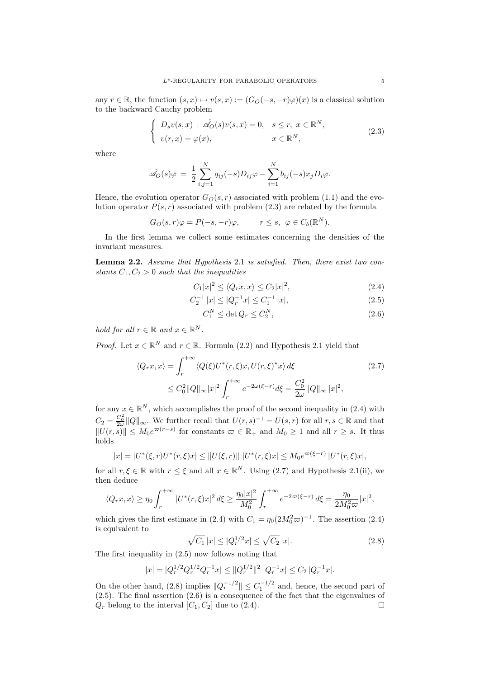any  $r \in \mathbb{R}$ , the function  $(s, x) \mapsto v(s, x) := (G_O(-s, -r)\varphi)(x)$  is a classical solution to the backward Cauchy problem

$$
\begin{cases}\nD_s v(s,x) + \hat{\mathscr{A}}_O(s) v(s,x) = 0, & s \le r, \ x \in \mathbb{R}^N, \\
v(r,x) = \varphi(x), & x \in \mathbb{R}^N,\n\end{cases}
$$
\n(2.3)

where

$$
\hat{\mathscr{A}}_O(s)\varphi = \frac{1}{2}\sum_{i,j=1}^N q_{ij}(-s)D_{ij}\varphi - \sum_{i=1}^N b_{ij}(-s)x_jD_i\varphi.
$$

Hence, the evolution operator  $G_O(s, r)$  associated with problem (1.1) and the evolution operator  $P(s, r)$  associated with problem (2.3) are related by the formula

$$
G_O(s,r)\varphi = P(-s,-r)\varphi, \qquad r \le s, \ \varphi \in C_b(\mathbb{R}^N).
$$

In the first lemma we collect some estimates concerning the densities of the invariant measures.

Lemma 2.2. Assume that Hypothesis 2.1 is satisfied. Then, there exist two constants  $C_1, C_2 > 0$  such that the inequalities

$$
C_1|x|^2 \le \langle Q_rx, x \rangle \le C_2|x|^2,\tag{2.4}
$$

$$
C_2^{-1} |x| \le |Q_r^{-1} x| \le C_1^{-1} |x|,\tag{2.5}
$$

$$
C_1^N \le \det Q_r \le C_2^N,\tag{2.6}
$$

hold for all  $r \in \mathbb{R}$  and  $x \in \mathbb{R}^N$ .

*Proof.* Let  $x \in \mathbb{R}^N$  and  $r \in \mathbb{R}$ . Formula (2.2) and Hypothesis 2.1 yield that

$$
\langle Q_r x, x \rangle = \int_r^{+\infty} \langle Q(\xi) U^*(r, \xi) x, U(r, \xi)^* x \rangle d\xi
$$
\n
$$
\leq C_0^2 \|Q\|_{\infty} |x|^2 \int_r^{+\infty} e^{-2\omega(\xi - r)} d\xi = \frac{C_0^2}{2\omega} \|Q\|_{\infty} |x|^2,
$$
\n(2.7)

for any  $x \in \mathbb{R}^N$ , which accomplishes the proof of the second inequality in (2.4) with  $C_2 = \frac{C_0^2}{2\omega} ||Q||_{\infty}$ . We further recall that  $U(r, s)^{-1} = U(s, r)$  for all  $r, s \in \mathbb{R}$  and that  $||U(r, s)|| \leq M_0 e^{\varpi(r-s)}$  for constants  $\varpi \in \mathbb{R}_+$  and  $M_0 \geq 1$  and all  $r \geq s$ . It thus holds

$$
|x| = |U^*(\xi, r)U^*(r, \xi)x| \le ||U(\xi, r)|| \ |U^*(r, \xi)x| \le M_0 e^{\varpi(\xi - r)} \ |U^*(r, \xi)x|,
$$

for all  $r, \xi \in \mathbb{R}$  with  $r \leq \xi$  and all  $x \in \mathbb{R}^N$ . Using (2.7) and Hypothesis 2.1(ii), we then deduce

$$
\langle Q_r x, x \rangle \ge \eta_0 \int_r^{+\infty} |U^*(r,\xi)x|^2 \, d\xi \ge \frac{\eta_0 |x|^2}{M_0^2} \int_r^{+\infty} e^{-2\varpi(\xi - r)} \, d\xi = \frac{\eta_0}{2M_0^2 \varpi} |x|^2,
$$

which gives the first estimate in (2.4) with  $C_1 = \eta_0 (2M_0^2 \omega)^{-1}$ . The assertion (2.4) is equivalent to

$$
\sqrt{C_1} |x| \le |Q_r^{1/2} x| \le \sqrt{C_2} |x|.
$$
\n(2.8)

The first inequality in (2.5) now follows noting that

$$
|x| = |Q_r^{1/2} Q_r^{1/2} Q_r^{-1} x| \le ||Q_r^{1/2}||^2 |Q_r^{-1} x| \le C_2 |Q_r^{-1} x|.
$$

On the other hand, (2.8) implies  $||Q_r^{-1/2}|| \leq C_1^{-1/2}$  and, hence, the second part of (2.5). The final assertion (2.6) is a consequence of the fact that the eigenvalues of  $Q_r$  belong to the interval  $[C_1, C_2]$  due to (2.4).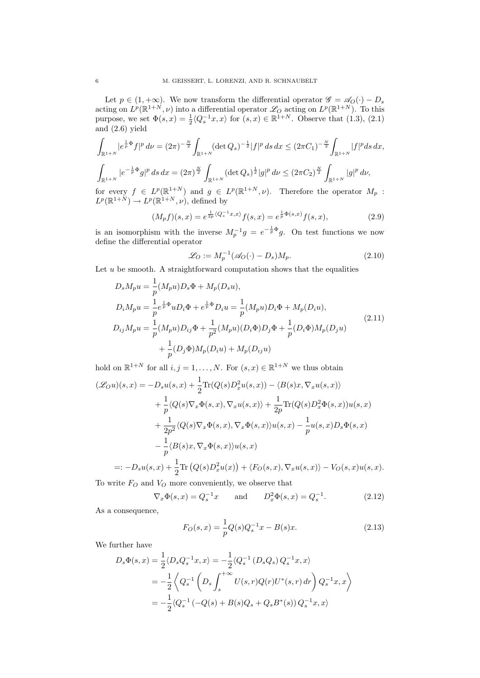Let  $p \in (1, +\infty)$ . We now transform the differential operator  $\mathscr{G} = \mathscr{A}_O(\cdot) - D_s$ acting on  $L^p(\mathbb{R}^{1+N},\nu)$  into a differential operator  $\mathscr{L}_O$  acting on  $L^p(\mathbb{R}^{1+N})$ . To this purpose, we set  $\Phi(s, x) = \frac{1}{2} \langle Q_s^{-1} x, x \rangle$  for  $(s, x) \in \mathbb{R}^{1+N}$ . Observe that (1.3), (2.1) and (2.6) yield

$$
\int_{\mathbb{R}^{1+N}} |e^{\frac{1}{p}\Phi} f|^p \, d\nu = (2\pi)^{-\frac{N}{2}} \int_{\mathbb{R}^{1+N}} (\det Q_s)^{-\frac{1}{2}} |f|^p \, ds \, dx \le (2\pi C_1)^{-\frac{N}{2}} \int_{\mathbb{R}^{1+N}} |f|^p ds \, dx,
$$
  

$$
\int_{\mathbb{R}^{1+N}} |e^{-\frac{1}{p}\Phi} g|^p \, ds \, dx = (2\pi)^{\frac{N}{2}} \int_{\mathbb{R}^{1+N}} (\det Q_s)^{\frac{1}{2}} |g|^p \, d\nu \le (2\pi C_2)^{\frac{N}{2}} \int_{\mathbb{R}^{1+N}} |g|^p \, d\nu,
$$

for every  $f \in L^p(\mathbb{R}^{1+N})$  and  $g \in L^p(\mathbb{R}^{1+N}, \nu)$ . Therefore the operator  $M_p$ :  $L^p(\mathbb{R}^{1+N}) \to L^p(\mathbb{R}^{1+N}, \nu)$ , defined by

$$
(M_p f)(s, x) = e^{\frac{1}{2p} \langle Q_s^{-1} x, x \rangle} f(s, x) = e^{\frac{1}{p} \Phi(s, x)} f(s, x), \tag{2.9}
$$

is an isomorphism with the inverse  $M_p^{-1}g = e^{-\frac{1}{p}\Phi}g$ . On test functions we now define the differential operator

$$
\mathcal{L}_O := M_p^{-1} (\mathcal{A}_O(\cdot) - D_s) M_p. \tag{2.10}
$$

Let  $u$  be smooth. A straightforward computation shows that the equalities

$$
D_s M_p u = \frac{1}{p} (M_p u) D_s \Phi + M_p (D_s u),
$$
  
\n
$$
D_i M_p u = \frac{1}{p} e^{\frac{1}{p} \Phi} u D_i \Phi + e^{\frac{1}{p} \Phi} D_i u = \frac{1}{p} (M_p u) D_i \Phi + M_p (D_i u),
$$
  
\n
$$
D_{ij} M_p u = \frac{1}{p} (M_p u) D_{ij} \Phi + \frac{1}{p^2} (M_p u) (D_i \Phi) D_j \Phi + \frac{1}{p} (D_i \Phi) M_p (D_j u)
$$
  
\n
$$
+ \frac{1}{p} (D_j \Phi) M_p (D_i u) + M_p (D_{ij} u)
$$
\n(2.11)

hold on  $\mathbb{R}^{1+N}$  for all  $i, j = 1, ..., N$ . For  $(s, x) \in \mathbb{R}^{1+N}$  we thus obtain

$$
\begin{split}\n(\mathscr{L}_{O}u)(s,x) &= -D_s u(s,x) + \frac{1}{2} \text{Tr}(Q(s)D_x^2 u(s,x)) - \langle B(s)x, \nabla_x u(s,x) \rangle \\
&\quad + \frac{1}{p} \langle Q(s) \nabla_x \Phi(s,x), \nabla_x u(s,x) \rangle + \frac{1}{2p} \text{Tr}(Q(s)D_x^2 \Phi(s,x))u(s,x) \\
&\quad + \frac{1}{2p^2} \langle Q(s) \nabla_x \Phi(s,x), \nabla_x \Phi(s,x) \rangle u(s,x) - \frac{1}{p} u(s,x)D_s \Phi(s,x) \\
&\quad - \frac{1}{p} \langle B(s)x, \nabla_x \Phi(s,x) \rangle u(s,x) \\
&=: -D_s u(s,x) + \frac{1}{2} \text{Tr}\left(Q(s)D_x^2 u(x)\right) + \langle F_O(s,x), \nabla_x u(s,x) \rangle - V_O(s,x)u(s,x).\n\end{split}
$$

To write  $F_O$  and  $V_O$  more conveniently, we observe that

$$
\nabla_x \Phi(s, x) = Q_s^{-1} x
$$
 and  $D_x^2 \Phi(s, x) = Q_s^{-1}$ . (2.12)

As a consequence,

$$
F_O(s,x) = \frac{1}{p}Q(s)Q_s^{-1}x - B(s)x.
$$
\n(2.13)

We further have

$$
D_s \Phi(s, x) = \frac{1}{2} \langle D_s Q_s^{-1} x, x \rangle = -\frac{1}{2} \langle Q_s^{-1} (D_s Q_s) Q_s^{-1} x, x \rangle
$$
  
=  $-\frac{1}{2} \langle Q_s^{-1} (D_s \int_s^{+\infty} U(s, r) Q(r) U^*(s, r) dr) Q_s^{-1} x, x \rangle$   
=  $-\frac{1}{2} \langle Q_s^{-1} (-Q(s) + B(s) Q_s + Q_s B^*(s)) Q_s^{-1} x, x \rangle$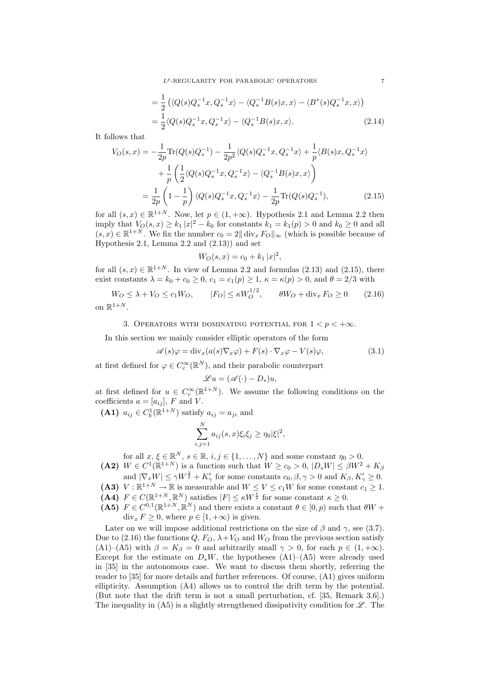$L^p$ -REGULARITY FOR PARABOLIC OPERATORS  $7$ 

$$
= \frac{1}{2} \left( \langle Q(s) Q_s^{-1} x, Q_s^{-1} x \rangle - \langle Q_s^{-1} B(s) x, x \rangle - \langle B^*(s) Q_s^{-1} x, x \rangle \right)
$$
  

$$
= \frac{1}{2} \langle Q(s) Q_s^{-1} x, Q_s^{-1} x \rangle - \langle Q_s^{-1} B(s) x, x \rangle.
$$
 (2.14)

It follows that

$$
V_O(s,x) = -\frac{1}{2p} \text{Tr}(Q(s)Q_s^{-1}) - \frac{1}{2p^2} \langle Q(s)Q_s^{-1}x, Q_s^{-1}x \rangle + \frac{1}{p} \langle B(s)x, Q_s^{-1}x \rangle + \frac{1}{p} \left( \frac{1}{2} \langle Q(s)Q_s^{-1}x, Q_s^{-1}x \rangle - \langle Q_s^{-1}B(s)x, x \rangle \right) = \frac{1}{2p} \left( 1 - \frac{1}{p} \right) \langle Q(s)Q_s^{-1}x, Q_s^{-1}x \rangle - \frac{1}{2p} \text{Tr}(Q(s)Q_s^{-1}),
$$
(2.15)

for all  $(s, x) \in \mathbb{R}^{1+N}$ . Now, let  $p \in (1, +\infty)$ . Hypothesis 2.1 and Lemma 2.2 then imply that  $V_O(s, x) \geq k_1 |x|^2 - k_0$  for constants  $k_1 = k_1(p) > 0$  and  $k_0 \geq 0$  and all  $(s, x) \in \mathbb{R}^{1+N}$ . We fix the number  $c_0 = 2||\text{div}_x F_O||_{\infty}$  (which is possible because of Hypothesis 2.1, Lemma 2.2 and (2.13)) and set

$$
W_O(s, x) = c_0 + k_1 |x|^2,
$$

for all  $(s, x) \in \mathbb{R}^{1+N}$ . In view of Lemma 2.2 and formulas  $(2.13)$  and  $(2.15)$ , there exist constants  $\lambda = k_0 + c_0 \geq 0$ ,  $c_1 = c_1(p) \geq 1$ ,  $\kappa = \kappa(p) > 0$ , and  $\theta = 2/3$  with

 $W_O \le \lambda + V_O \le c_1 W_O, \qquad |F_O| \le \kappa W_O^{1/2}, \qquad \theta W_O + \text{div}_x F_O \ge 0$  (2.16) on  $\mathbb{R}^{1+N}$ .

## 3. OPERATORS WITH DOMINATING POTENTIAL FOR  $1 < p < +\infty$ .

In this section we mainly consider elliptic operators of the form

$$
\mathscr{A}(s)\varphi = \text{div}_x(a(s)\nabla_x \varphi) + F(s) \cdot \nabla_x \varphi - V(s)\varphi, \tag{3.1}
$$

at first defined for  $\varphi \in C_c^{\infty}(\mathbb{R}^N)$ , and their parabolic counterpart

$$
\mathscr{L}u = (\mathscr{A}(\cdot) - D_s)u,
$$

at first defined for  $u \in C_c^{\infty}(\mathbb{R}^{1+N})$ . We assume the following conditions on the coefficients  $a = [a_{ij}], F$  and V.

(A1)  $a_{ij} \in C_b^1(\mathbb{R}^{1+N})$  satisfy  $a_{ij} = a_{ji}$  and

$$
\sum_{i,j=1}^{N} a_{ij}(s,x)\xi_i\xi_j \ge \eta_0 |\xi|^2,
$$

for all  $x, \xi \in \mathbb{R}^N$ ,  $s \in \mathbb{R}$ ,  $i, j \in \{1, ..., N\}$  and some constant  $\eta_0 > 0$ .

(A2)  $W \in C^1(\mathbb{R}^{1+N})$  is a function such that  $W \ge c_0 > 0$ ,  $|D_s W| \le \beta W^2 + K_\beta$ and  $|\nabla_x W| \le \gamma W^{\frac{3}{2}} + K'_{\gamma}$  for some constants  $c_0, \beta, \gamma > 0$  and  $K_{\beta}, K'_{\gamma} \ge 0$ .

(A3)  $V : \mathbb{R}^{1+N} \to \mathbb{R}$  is measurable and  $W \leq V \leq c_1W$  for some constant  $c_1 \geq 1$ . (A4)  $F \in C(\mathbb{R}^{1+N}, \mathbb{R}^N)$  satisfies  $|F| \leq \kappa W^{\frac{1}{2}}$  for some constant  $\kappa \geq 0$ .

(A5)  $F \in C^{0,1}(\mathbb{R}^{1+N}, \mathbb{R}^{N})$  and there exists a constant  $\theta \in [0, p)$  such that  $\theta W$  +  $\text{div}_x F \geq 0$ , where  $p \in [1, +\infty)$  is given.

Later on we will impose additional restrictions on the size of  $\beta$  and  $\gamma$ , see (3.7). Due to (2.16) the functions  $Q, F<sub>O</sub>, \lambda + V<sub>O</sub>$  and  $W<sub>O</sub>$  from the previous section satisfy (A1)–(A5) with  $\beta = K_{\beta} = 0$  and arbitrarily small  $\gamma > 0$ , for each  $p \in (1, +\infty)$ . Except for the estimate on  $D_sW$ , the hypotheses  $(A1)$ – $(A5)$  were already used in [35] in the autonomous case. We want to discuss them shortly, referring the reader to [35] for more details and further references. Of course, (A1) gives uniform ellipticity. Assumption (A4) allows us to control the drift term by the potential. (But note that the drift term is not a small perturbation, cf. [35, Remark 3.6].) The inequality in (A5) is a slightly strengthened dissipativity condition for  $\mathscr{L}$ . The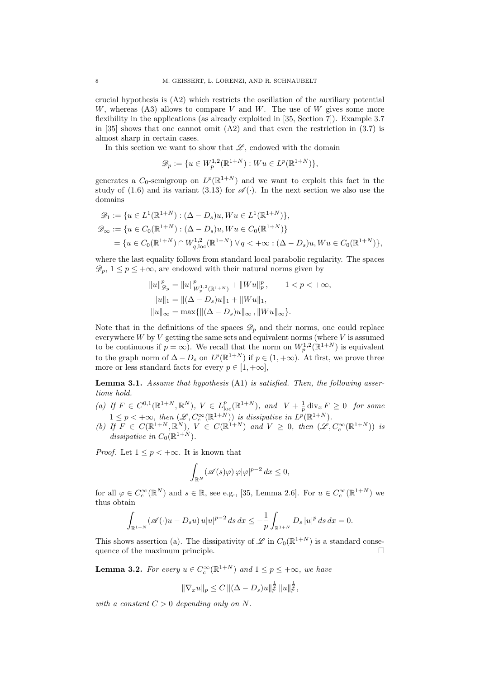crucial hypothesis is (A2) which restricts the oscillation of the auxiliary potential W, whereas  $(A3)$  allows to compare V and W. The use of W gives some more flexibility in the applications (as already exploited in [35, Section 7]). Example 3.7 in [35] shows that one cannot omit  $(A2)$  and that even the restriction in  $(3.7)$  is almost sharp in certain cases.

In this section we want to show that  $\mathscr{L}$ , endowed with the domain

$$
\mathscr{D}_p := \{ u \in W_p^{1,2}(\mathbb{R}^{1+N}) : W u \in L^p(\mathbb{R}^{1+N}) \},
$$

generates a  $C_0$ -semigroup on  $L^p(\mathbb{R}^{1+N})$  and we want to exploit this fact in the study of (1.6) and its variant (3.13) for  $\mathscr{A}(\cdot)$ . In the next section we also use the domains

$$
\mathcal{D}_1 := \{ u \in L^1(\mathbb{R}^{1+N}) : (\Delta - D_s)u, Wu \in L^1(\mathbb{R}^{1+N}) \},
$$
  

$$
\mathcal{D}_{\infty} := \{ u \in C_0(\mathbb{R}^{1+N}) : (\Delta - D_s)u, Wu \in C_0(\mathbb{R}^{1+N}) \}
$$
  

$$
= \{ u \in C_0(\mathbb{R}^{1+N}) \cap W_{q,\text{loc}}^{1,2}(\mathbb{R}^{1+N}) \ \forall \ q < +\infty : (\Delta - D_s)u, Wu \in C_0(\mathbb{R}^{1+N}) \},
$$

where the last equality follows from standard local parabolic regularity. The spaces  $\mathscr{D}_p$ ,  $1 \leq p \leq +\infty$ , are endowed with their natural norms given by

$$
||u||_{\mathcal{D}_p}^p = ||u||_{W_p^{1,2}(\mathbb{R}^{1+N})}^p + ||Wu||_p^p, \qquad 1 < p < +\infty,
$$
  

$$
||u||_1 = ||(\Delta - D_s)u||_1 + ||Wu||_1,
$$
  

$$
||u||_{\infty} = \max{\{||(\Delta - D_s)u||_{\infty}, ||Wu||_{\infty}\}}.
$$

Note that in the definitions of the spaces  $\mathscr{D}_p$  and their norms, one could replace everywhere  $W$  by  $V$  getting the same sets and equivalent norms (where  $V$  is assumed to be continuous if  $p = \infty$ ). We recall that the norm on  $W_p^{1,2}(\mathbb{R}^{1+N})$  is equivalent to the graph norm of  $\Delta - D_s$  on  $L^p(\mathbb{R}^{1+N})$  if  $p \in (1, +\infty)$ . At first, we prove three more or less standard facts for every  $p \in [1, +\infty]$ ,

Lemma 3.1. Assume that hypothesis (A1) is satisfied. Then, the following assertions hold.

- (a) If  $F \in C^{0,1}(\mathbb{R}^{1+N}, \mathbb{R}^N)$ ,  $V \in L^p_{loc}(\mathbb{R}^{1+N})$ , and  $V + \frac{1}{p} \operatorname{div}_x F \geq 0$  for some  $1 \leq p < +\infty$ , then  $(\mathscr{L}, C_c^{\infty}(\mathbb{R}^{1+N}))$  is dissipative in  $L^p(\mathbb{R}^{1+N})$ .
- (b) If  $F \in C(\mathbb{R}^{1+N}, \mathbb{R}^N)$ ,  $V \in C(\mathbb{R}^{1+N})$  and  $V \geq 0$ , then  $(\mathscr{L}, C_c^{\infty}(\mathbb{R}^{1+N}))$  is dissipative in  $C_0(\mathbb{R}^{1+N})$ .

*Proof.* Let  $1 \leq p < +\infty$ . It is known that

$$
\int_{\mathbb{R}^N} (\mathscr{A}(s)\varphi) \, \varphi |\varphi|^{p-2} \, dx \leq 0,
$$

for all  $\varphi \in C_c^{\infty}(\mathbb{R}^N)$  and  $s \in \mathbb{R}$ , see e.g., [35, Lemma 2.6]. For  $u \in C_c^{\infty}(\mathbb{R}^{1+N})$  we thus obtain

$$
\int_{\mathbb{R}^{1+N}} (\mathscr{A}(\cdot)u - D_s u) u|u|^{p-2} ds dx \le -\frac{1}{p} \int_{\mathbb{R}^{1+N}} D_s |u|^p ds dx = 0.
$$

This shows assertion (a). The dissipativity of  $\mathscr L$  in  $C_0(\mathbb R^{1+N})$  is a standard consequence of the maximum principle.  $\Box$ 

**Lemma 3.2.** For every  $u \in C_c^{\infty}(\mathbb{R}^{1+N})$  and  $1 \leq p \leq +\infty$ , we have

$$
\|\nabla_x u\|_p \leq C \, \|(\Delta - D_s)u\|_p^{\frac{1}{2}} \, \|u\|_p^{\frac{1}{2}},
$$

with a constant  $C > 0$  depending only on N.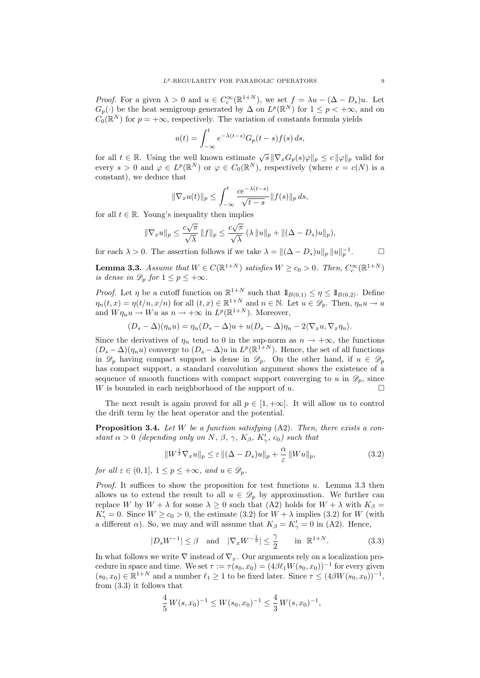*Proof.* For a given  $\lambda > 0$  and  $u \in C_c^{\infty}(\mathbb{R}^{1+N})$ , we set  $f = \lambda u - (\Delta - D_s)u$ . Let  $G_p(\cdot)$  be the heat semigroup generated by  $\Delta$  on  $L^p(\mathbb{R}^N)$  for  $1 \leq p < +\infty$ , and on  $\widehat{C}_0(\mathbb{R}^N)$  for  $p = +\infty$ , respectively. The variation of constants formula yields

$$
u(t) = \int_{-\infty}^{t} e^{-\lambda(t-s)} G_p(t-s) f(s) ds,
$$

for all  $t \in \mathbb{R}$ . Using the well known estimate  $\sqrt{s} \|\nabla_x G_p(s)\varphi\|_p \leq c \|\varphi\|_p$  valid for every  $s > 0$  and  $\varphi \in L^p(\mathbb{R}^N)$  or  $\varphi \in C_0(\mathbb{R}^N)$ , respectively (where  $c = c(N)$  is a constant), we deduce that

$$
\|\nabla_x u(t)\|_p \le \int_{-\infty}^t \frac{ce^{-\lambda(t-s)}}{\sqrt{t-s}} \|f(s)\|_p ds,
$$

for all  $t \in \mathbb{R}$ . Young's inequality then implies

$$
\|\nabla_x u\|_p \leq \frac{c\sqrt{\pi}}{\sqrt{\lambda}} \|f\|_p \leq \frac{c\sqrt{\pi}}{\sqrt{\lambda}} (\lambda \|u\|_p + \|(\Delta - D_s)u\|_p),
$$

for each  $\lambda > 0$ . The assertion follows if we take  $\lambda = ||(\Delta - D_s)u||_p ||u||_p^{-1}$  $\Box$ 

**Lemma 3.3.** Assume that  $W \in C(\mathbb{R}^{1+N})$  satisfies  $W \ge c_0 > 0$ . Then,  $C_c^{\infty}(\mathbb{R}^{1+N})$ is dense in  $\mathscr{D}_p$  for  $1 \leq p \leq +\infty$ .

*Proof.* Let  $\eta$  be a cutoff function on  $\mathbb{R}^{1+N}$  such that  $\mathbb{1}_{B(0,1)} \leq \eta \leq \mathbb{1}_{B(0,2)}$ . Define  $\eta_n(t,x) = \eta(t/n, x/n)$  for all  $(t,x) \in \mathbb{R}^{1+N}$  and  $n \in \mathbb{N}$ . Let  $u \in \mathscr{D}_p$ . Then,  $\eta_n u \to u$ and  $W\eta_n u \to Wu$  as  $n \to +\infty$  in  $L^p(\mathbb{R}^{1+N})$ . Moreover,

$$
(D_s - \Delta)(\eta_n u) = \eta_n (D_s - \Delta) u + u (D_s - \Delta) \eta_n - 2 \langle \nabla_x u, \nabla_x \eta_n \rangle.
$$

Since the derivatives of  $\eta_n$  tend to 0 in the sup-norm as  $n \to +\infty$ , the functions  $(D_s - \Delta)(\eta_n u)$  converge to  $(D_s - \Delta)u$  in  $L^p(\mathbb{R}^{1+N})$ . Hence, the set of all functions in  $\mathscr{D}_p$  having compact support is dense in  $\mathscr{D}_p$ . On the other hand, if  $u \in \mathscr{D}_p$ has compact support, a standard convolution argument shows the existence of a sequence of smooth functions with compact support converging to u in  $\mathscr{D}_p$ , since W is bounded in each neighborhood of the support of  $u$ .

The next result is again proved for all  $p \in [1, +\infty]$ . It will allow us to control the drift term by the heat operator and the potential.

**Proposition 3.4.** Let W be a function satisfying  $(A2)$ . Then, there exists a constant  $\alpha > 0$  (depending only on N,  $\beta$ ,  $\gamma$ ,  $K_{\beta}$ ,  $K'_{\gamma}$ ,  $c_0$ ) such that

$$
||W^{\frac{1}{2}}\nabla_x u||_p \le \varepsilon ||(\Delta - D_s)u||_p + \frac{\alpha}{\varepsilon} ||Wu||_p,
$$
\n(3.2)

for all  $\varepsilon \in (0,1], 1 \le p \le +\infty$ , and  $u \in \mathscr{D}_p$ .

*Proof.* It suffices to show the proposition for test functions  $u$ . Lemma 3.3 then allows us to extend the result to all  $u \in \mathcal{D}_p$  by approximation. We further can replace W by  $W + \lambda$  for some  $\lambda \geq 0$  such that (A2) holds for  $W + \lambda$  with  $K_{\beta} =$  $K'_{\gamma} = 0$ . Since  $W \ge c_0 > 0$ , the estimate (3.2) for  $W + \lambda$  implies (3.2) for W (with a different  $\alpha$ ). So, we may and will assume that  $K_{\beta} = K'_{\gamma} = 0$  in (A2). Hence,

$$
|D_s W^{-1}| \le \beta \quad \text{and} \quad |\nabla_x W^{-\frac{1}{2}}| \le \frac{\gamma}{2} \qquad \text{in} \quad \mathbb{R}^{1+N}.\tag{3.3}
$$

In what follows we write  $\nabla$  instead of  $\nabla_x$ . Our arguments rely on a localization procedure in space and time. We set  $\tau := \tau(s_0, x_0) = (4\beta \ell_1 W(s_0, x_0))^{-1}$  for every given  $(s_0, x_0) \in \mathbb{R}^{1+N}$  and a number  $\ell_1 \geq 1$  to be fixed later. Since  $\tau \leq (4\beta W(s_0, x_0))^{-1}$ , from (3.3) it follows that

$$
\frac{4}{5}W(s, x_0)^{-1} \le W(s_0, x_0)^{-1} \le \frac{4}{3}W(s, x_0)^{-1},
$$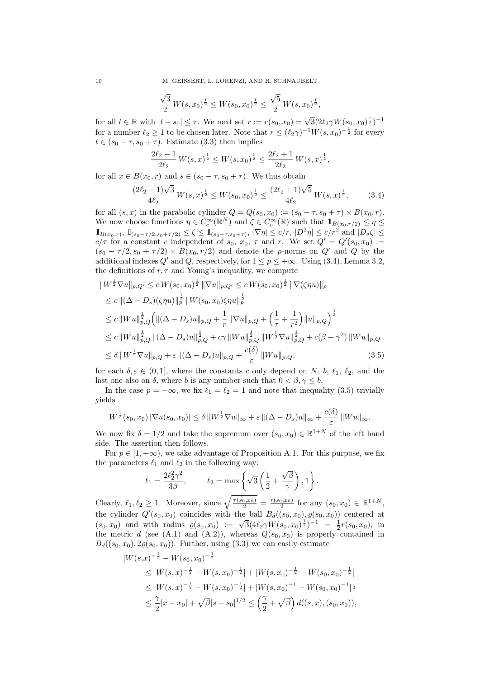10 M. GEISSERT, L. LORENZI, AND R. SCHNAUBELT

$$
\frac{\sqrt{3}}{2} W(s, x_0)^{\frac{1}{2}} \le W(s_0, x_0)^{\frac{1}{2}} \le \frac{\sqrt{5}}{2} W(s, x_0)^{\frac{1}{2}},
$$

for all  $t \in \mathbb{R}$  with  $|t - s_0| \leq \tau$ . We next set  $r := r(s_0, x_0) = \sqrt{3}(2\ell_2\gamma W(s_0, x_0)^{\frac{1}{2}})^{-1}$ for a number  $\ell_2 \geq 1$  to be chosen later. Note that  $r \leq (\ell_2 \gamma)^{-1} W(s, x_0)^{-\frac{1}{2}}$  for every  $t \in (s_0 - \tau, s_0 + \tau)$ . Estimate (3.3) then implies

$$
\frac{2\ell_2 - 1}{2\ell_2} W(s, x)^{\frac{1}{2}} \le W(s, x_0)^{\frac{1}{2}} \le \frac{2\ell_2 + 1}{2\ell_2} W(s, x)^{\frac{1}{2}},
$$

for all  $x \in B(x_0, r)$  and  $s \in (s_0 - \tau, s_0 + \tau)$ . We thus obtain

$$
\frac{(2\ell_2 - 1)\sqrt{3}}{4\ell_2} W(s, x)^{\frac{1}{2}} \le W(s_0, x_0)^{\frac{1}{2}} \le \frac{(2\ell_2 + 1)\sqrt{5}}{4\ell_2} W(s, x)^{\frac{1}{2}},\tag{3.4}
$$

for all  $(s, x)$  in the parabolic cylinder  $Q = Q(s_0, x_0) := (s_0 - \tau, s_0 + \tau) \times B(x_0, r)$ . We now choose functions  $\eta \in C_c^{\infty}(\mathbb{R}^N)$  and  $\zeta \in C_c^{\infty}(\mathbb{R})$  such that  $1\!\!1_{B(x_0,r/2)} \leq \eta \leq$  $1\!\!1_{B(x_0,r)}, 1\!\!1_{(s_0-\tau/2,s_0+\tau/2)} \leq \zeta \leq 1\!\!1_{(s_0-\tau,s_0+\tau)}, |\nabla \eta| \leq c/r, |D^2 \eta| \leq c/r^2$  and  $|D_s \zeta| \leq$  $c/\tau$  for a constant c independent of  $s_0, x_0, \tau$  and r. We set  $Q' = Q'(s_0, x_0) :=$  $(s_0 - \tau/2, s_0 + \tau/2) \times B(x_0, r/2)$  and denote the p-norms on Q' and Q by the additional indexes Q' and Q, respectively, for  $1 \le p \le +\infty$ . Using (3.4), Lemma 3.2, the definitions of  $r, \tau$  and Young's inequality, we compute

$$
\|W^{\frac{1}{2}}\nabla u\|_{p,Q'} \le c W(s_0, x_0)^{\frac{1}{2}} \|\nabla u\|_{p,Q'} \le c W(s_0, x_0)^{\frac{1}{2}} \|\nabla (\zeta \eta u)\|_{p}
$$
  
\n
$$
\le c \|(\Delta - D_s)(\zeta \eta u)\|_p^{\frac{1}{2}} \|W(s_0, x_0)\zeta \eta u\|_p^{\frac{1}{2}}
$$
  
\n
$$
\le c \|Wu\|_{p,Q}^{\frac{1}{2}} \left(\|(\Delta - D_s)u\|_{p,Q} + \frac{1}{r} \|\nabla u\|_{p,Q} + \left(\frac{1}{\tau} + \frac{1}{r^2}\right) \|u\|_{p,Q}\right)^{\frac{1}{2}}
$$
  
\n
$$
\le c \|Wu\|_{p,Q}^{\frac{1}{2}} \|(\Delta - D_s)u\|_{p,Q}^{\frac{1}{2}} + c\gamma \|Wu\|_{p,Q}^{\frac{1}{2}} \|W^{\frac{1}{2}}\nabla u\|_{p,Q}^{\frac{1}{2}} + c(\beta + \gamma^2) \|Wu\|_{p,Q}
$$
  
\n
$$
\le \delta \|W^{\frac{1}{2}}\nabla u\|_{p,Q} + \varepsilon \|(\Delta - D_s)u\|_{p,Q} + \frac{c(\delta)}{\varepsilon} \|Wu\|_{p,Q}, \qquad (3.5)
$$

for each  $\delta, \varepsilon \in (0, 1]$ , where the constants c only depend on N, b,  $\ell_1, \ell_2$ , and the last one also on  $\delta$ , where b is any number such that  $0 < \beta, \gamma \leq b$ .

In the case  $p = +\infty$ , we fix  $\ell_1 = \ell_2 = 1$  and note that inequality (3.5) trivially yields

$$
W^{\frac{1}{2}}(s_0,x_0) |\nabla u(s_0,x_0)| \leq \delta ||W^{\frac{1}{2}} \nabla u||_{\infty} + \varepsilon ||(\Delta - D_s)u||_{\infty} + \frac{c(\delta)}{\varepsilon} ||Wu||_{\infty}.
$$

We now fix  $\delta = 1/2$  and take the supremum over  $(s_0, x_0) \in \mathbb{R}^{1+N}$  of the left hand side. The assertion then follows.

For  $p \in [1, +\infty)$ , we take advantage of Proposition A.1. For this purpose, we fix the parameters  $\ell_1$  and  $\ell_2$  in the following way:

$$
\ell_1 = \frac{2\ell_2^2 \gamma^2}{3\beta}, \qquad \ell_2 = \max\left\{\sqrt{3}\left(\frac{1}{2} + \frac{\sqrt{\beta}}{\gamma}\right), 1\right\}.
$$

Clearly,  $\ell_1, \ell_2 \geq 1$ . Moreover, since  $\sqrt{\frac{\tau(s_0, x_0)}{2}} = \frac{\tau(s_0, x_0)}{2}$  for any  $(s_0, x_0) \in \mathbb{R}^{1+N}$ , the cylinder  $Q'(s_0, x_0)$  coincides with the ball  $B_d((s_0, x_0), \varrho(s_0, x_0))$  centered at the cynnaer  $Q(s_0, x_0)$  coincides with the ban  $D_d((s_0, x_0), \varrho(s_0, x_0))$  centered at  $(s_0, x_0)$  and with radius  $\varrho(s_0, x_0) := \sqrt{3}(4\ell_2\gamma W(s_0, x_0)^{\frac{1}{2}})^{-1} = \frac{1}{2}r(s_0, x_0)$ , in the metric d (see (A.1) and (A.2)), whereas  $Q(s_0, x_0)$  is properly contained in  $B_d((s_0, x_0), 2\rho(s_0, x_0))$ . Further, using (3.3) we can easily estimate

$$
|W(s,x)^{-\frac{1}{2}} - W(s_0, x_0)^{-\frac{1}{2}}|
$$
  
\n
$$
\leq |W(s,x)^{-\frac{1}{2}} - W(s,x_0)^{-\frac{1}{2}}| + |W(s,x_0)^{-\frac{1}{2}} - W(s_0, x_0)^{-\frac{1}{2}}|
$$
  
\n
$$
\leq |W(s,x)^{-\frac{1}{2}} - W(s,x_0)^{-\frac{1}{2}}| + |W(s,x_0)^{-1} - W(s_0, x_0)^{-1}|^{\frac{1}{2}}
$$
  
\n
$$
\leq \frac{\gamma}{2}|x - x_0| + \sqrt{\beta}|s - s_0|^{1/2} \leq \left(\frac{\gamma}{2} + \sqrt{\beta}\right)d((s, x), (s_0, x_0)),
$$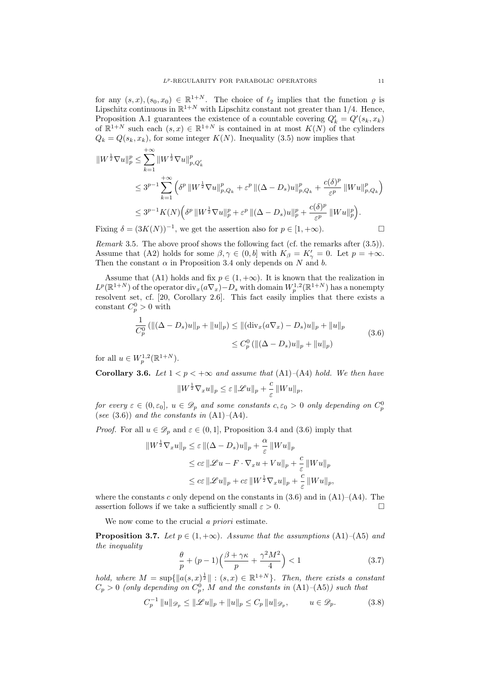for any  $(s, x), (s_0, x_0) \in \mathbb{R}^{1+N}$ . The choice of  $\ell_2$  implies that the function  $\varrho$  is Lipschitz continuous in  $\mathbb{R}^{1+N}$  with Lipschitz constant not greater than 1/4. Hence, Proposition A.1 guarantees the existence of a countable covering  $Q'_k = Q'(s_k, x_k)$ of  $\mathbb{R}^{1+N}$  such each  $(s, x) \in \mathbb{R}^{1+N}$  is contained in at most  $K(N)$  of the cylinders  $Q_k = Q(s_k, x_k)$ , for some integer  $K(N)$ . Inequality (3.5) now implies that

$$
\|W^{\frac{1}{2}}\nabla u\|_{p}^{p} \leq \sum_{k=1}^{+\infty} \|W^{\frac{1}{2}}\nabla u\|_{p,Q_{k}}^{p}
$$
  
\n
$$
\leq 3^{p-1} \sum_{k=1}^{+\infty} \left(\delta^{p} \|W^{\frac{1}{2}}\nabla u\|_{p,Q_{k}}^{p} + \varepsilon^{p} \|(\Delta - D_{s})u\|_{p,Q_{k}}^{p} + \frac{c(\delta)^{p}}{\varepsilon^{p}} \|Wu\|_{p,Q_{k}}^{p}\right)
$$
  
\n
$$
\leq 3^{p-1} K(N) \left(\delta^{p} \|W^{\frac{1}{2}}\nabla u\|_{p}^{p} + \varepsilon^{p} \|(\Delta - D_{s})u\|_{p}^{p} + \frac{c(\delta)^{p}}{\varepsilon^{p}} \|Wu\|_{p}^{p}\right).
$$
  
\nFiving  $\delta = (2 K(N))^{-1}$  are set the description also for  $p \in [1, +\infty)$ .

Fixing  $\delta = (3K(N))^{-1}$ , we get the assertion also for  $p \in [1, +\infty)$ .

Remark 3.5. The above proof shows the following fact (cf. the remarks after (3.5)). Assume that (A2) holds for some  $\beta, \gamma \in (0, b]$  with  $K_{\beta} = K'_{\gamma} = 0$ . Let  $p = +\infty$ . Then the constant  $\alpha$  in Proposition 3.4 only depends on N and b.

Assume that (A1) holds and fix  $p \in (1, +\infty)$ . It is known that the realization in  $L^p(\mathbb{R}^{1+N})$  of the operator  $\text{div}_x(a\nabla_x) - D_s$  with domain  $W_p^{1,2}(\mathbb{R}^{1+N})$  has a nonempty resolvent set, cf. [20, Corollary 2.6]. This fact easily implies that there exists a constant  $C_p^0 > 0$  with

$$
\frac{1}{C_p^0} \left( \| (\Delta - D_s)u \|_p + \| u \|_p \right) \le \| (\text{div}_x(a\nabla_x) - D_s)u \|_p + \| u \|_p
$$
\n
$$
\le C_p^0 \left( \| (\Delta - D_s)u \|_p + \| u \|_p \right) \tag{3.6}
$$

for all  $u \in W^{1,2}_p(\mathbb{R}^{1+N}).$ 

Corollary 3.6. Let  $1 < p < +\infty$  and assume that  $(A1)$ – $(A4)$  hold. We then have  $||W^{\frac{1}{2}}\nabla_x u||_p \leq \varepsilon ||\mathcal{L}u||_p + \frac{c}{2}$  $\frac{\varepsilon}{\varepsilon}||Wu||_p,$ 

for every  $\varepsilon \in (0,\varepsilon_0], u \in \mathscr{D}_p$  and some constants  $c, \varepsilon_0 > 0$  only depending on  $C_p^0$ (see  $(3.6)$ ) and the constants in  $(A1)–(A4)$ .

*Proof.* For all  $u \in \mathscr{D}_p$  and  $\varepsilon \in (0,1]$ , Proposition 3.4 and (3.6) imply that

$$
||W^{\frac{1}{2}}\nabla_x u||_p \leq \varepsilon ||(\Delta - D_s)u||_p + \frac{\alpha}{\varepsilon} ||Wu||_p
$$
  
\n
$$
\leq c\varepsilon ||\mathcal{L}u - F\cdot \nabla_x u + Vu||_p + \frac{c}{\varepsilon} ||Wu||_p
$$
  
\n
$$
\leq c\varepsilon ||\mathcal{L}u||_p + c\varepsilon ||W^{\frac{1}{2}}\nabla_x u||_p + \frac{c}{\varepsilon} ||Wu||_p,
$$

where the constants c only depend on the constants in  $(3.6)$  and in  $(A1)–(A4)$ . The assertion follows if we take a sufficiently small  $\varepsilon > 0$ .

We now come to the crucial *a priori* estimate.

**Proposition 3.7.** Let  $p \in (1, +\infty)$ . Assume that the assumptions (A1)–(A5) and the inequality

$$
\frac{\theta}{p} + (p-1)\left(\frac{\beta + \gamma \kappa}{p} + \frac{\gamma^2 M^2}{4}\right) < 1\tag{3.7}
$$

hold, where  $M = \sup\{\|a(s,x)^{\frac{1}{2}}\| : (s,x) \in \mathbb{R}^{1+N}\}\$ . Then, there exists a constant  $C_p > 0$  (only depending on  $C_p^0$ , M and the constants in  $(A1)$ – $(A5)$ ) such that

$$
C_p^{-1} \|u\|_{\mathscr{D}_p} \le \|\mathscr{L}u\|_p + \|u\|_p \le C_p \|u\|_{\mathscr{D}_p}, \qquad u \in \mathscr{D}_p. \tag{3.8}
$$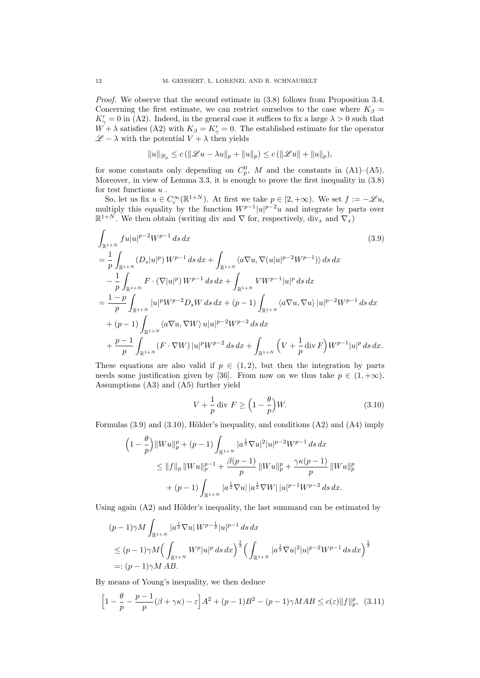Proof. We observe that the second estimate in  $(3.8)$  follows from Proposition 3.4. Concerning the first estimate, we can restrict ourselves to the case where  $K_{\beta}$  =  $K'_{\gamma} = 0$  in (A2). Indeed, in the general case it suffices to fix a large  $\lambda > 0$  such that  $W + \lambda$  satisfies (A2) with  $K_{\beta} = K_{\gamma}' = 0$ . The established estimate for the operator  $\mathscr{L} - \lambda$  with the potential  $V + \lambda$  then yields

$$
||u||_{\mathscr{D}_p} \le c (||\mathscr{L}u - \lambda u||_p + ||u||_p) \le c (||\mathscr{L}u|| + ||u||_p),
$$

for some constants only depending on  $C_p^0$ , M and the constants in  $(A1)$ – $(A5)$ . Moreover, in view of Lemma 3.3, it is enough to prove the first inequality in (3.8) for test functions  $\boldsymbol{u}$  .

So, let us fix  $u \in C_c^{\infty}(\mathbb{R}^{1+N})$ . At first we take  $p \in [2, +\infty)$ . We set  $f := -\mathscr{L}u$ , multiply this equality by the function  $W^{p-1}|u|^{p-2}u$  and integrate by parts over  $\mathbb{R}^{1+N}$ . We then obtain (writing div and  $\nabla$  for, respectively, div<sub>x</sub> and  $\nabla_x$ )

$$
\int_{\mathbb{R}^{1+N}} f u|u|^{p-2} W^{p-1} ds dx
$$
\n(3.9)  
\n
$$
= \frac{1}{p} \int_{\mathbb{R}^{1+N}} (D_s|u|^p) W^{p-1} ds dx + \int_{\mathbb{R}^{1+N}} \langle a \nabla u, \nabla (u|u|^{p-2} W^{p-1}) \rangle ds dx
$$
\n
$$
- \frac{1}{p} \int_{\mathbb{R}^{1+N}} F \cdot (\nabla |u|^p) W^{p-1} ds dx + \int_{\mathbb{R}^{1+N}} V W^{p-1} |u|^p ds dx
$$
\n
$$
= \frac{1-p}{p} \int_{\mathbb{R}^{1+N}} |u|^p W^{p-2} D_s W ds dx + (p-1) \int_{\mathbb{R}^{1+N}} \langle a \nabla u, \nabla u \rangle |u|^{p-2} W^{p-1} ds dx
$$
\n
$$
+ (p-1) \int_{\mathbb{R}^{1+N}} \langle a \nabla u, \nabla W \rangle u |u|^{p-2} W^{p-2} ds dx
$$
\n
$$
+ \frac{p-1}{p} \int_{\mathbb{R}^{1+N}} (F \cdot \nabla W) |u|^p W^{p-2} ds dx + \int_{\mathbb{R}^{1+N}} \left( V + \frac{1}{p} \operatorname{div} F \right) W^{p-1} |u|^p ds dx.
$$

These equations are also valid if  $p \in (1, 2)$ , but then the integration by parts needs some justification given by [36]. From now on we thus take  $p \in (1, +\infty)$ . Assumptions (A3) and (A5) further yield

$$
V + \frac{1}{p} \operatorname{div} F \ge \left(1 - \frac{\theta}{p}\right) W. \tag{3.10}
$$

Formulas  $(3.9)$  and  $(3.10)$ , Hölder's inequality, and conditions  $(A2)$  and  $(A4)$  imply

$$
\begin{aligned}\n\left(1 - \frac{\theta}{p}\right) &\|Wu\|_{p}^{p} + (p - 1) \int_{\mathbb{R}^{1+N}} |a^{\frac{1}{2}} \nabla u|^{2} |u|^{p-2} W^{p-1} \, ds \, dx \\
&\leq \|f\|_{p} \, \|Wu\|_{p}^{p-1} + \frac{\beta(p-1)}{p} \, \|Wu\|_{p}^{p} + \frac{\gamma \kappa(p-1)}{p} \, \|Wu\|_{p}^{p} \\
&\quad + (p - 1) \int_{\mathbb{R}^{1+N}} |a^{\frac{1}{2}} \nabla u| \, |a^{\frac{1}{2}} \nabla W| \, |u|^{p-1} W^{p-2} \, ds \, dx.\n\end{aligned}
$$

Using again  $(A2)$  and Hölder's inequality, the last summand can be estimated by

$$
(p-1)\gamma M \int_{\mathbb{R}^{1+N}} |a^{\frac{1}{2}}\nabla u| W^{p-\frac{1}{2}} |u|^{p-1} ds dx
$$
  
\n
$$
\leq (p-1)\gamma M \Big(\int_{\mathbb{R}^{1+N}} W^p |u|^p ds dx\Big)^{\frac{1}{2}} \Big(\int_{\mathbb{R}^{1+N}} |a^{\frac{1}{2}}\nabla u|^2 |u|^{p-2} W^{p-1} ds dx\Big)^{\frac{1}{2}}
$$
  
\n
$$
=: (p-1)\gamma M AB.
$$

By means of Young's inequality, we then deduce

$$
\left[1 - \frac{\theta}{p} - \frac{p-1}{p}(\beta + \gamma \kappa) - \varepsilon\right]A^2 + (p-1)B^2 - (p-1)\gamma MAB \le c(\varepsilon) \|f\|_p^p, (3.11)
$$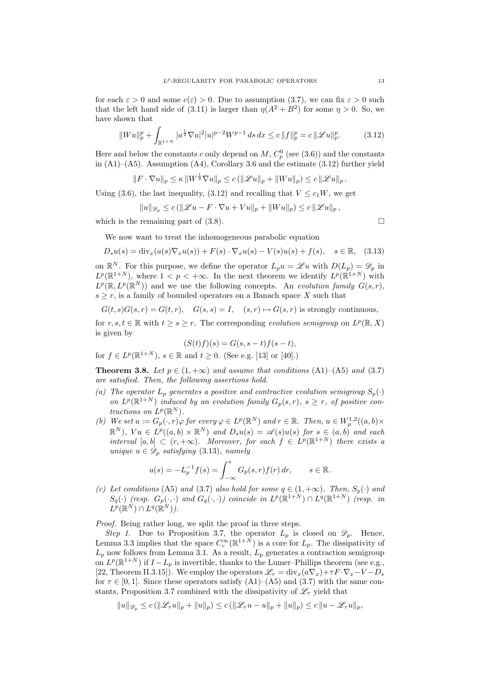for each  $\varepsilon > 0$  and some  $c(\varepsilon) > 0$ . Due to assumption (3.7), we can fix  $\varepsilon > 0$  such that the left hand side of (3.11) is larger than  $\eta(A^2 + B^2)$  for some  $\eta > 0$ . So, we have shown that

$$
||Wu||_p^p + \int_{\mathbb{R}^{1+N}} |a^{\frac{1}{2}} \nabla u|^2 |u|^{p-2} W^{p-1} ds dx \le c ||f||_p^p = c ||\mathcal{L}u||_p^p. \tag{3.12}
$$

Here and below the constants c only depend on  $M$ ,  $C_p^0$  (see (3.6)) and the constants in  $(A1)$ – $(A5)$ . Assumption  $(A4)$ , Corollary 3.6 and the estimate  $(3.12)$  further yield

$$
||F \cdot \nabla u||_p \le \kappa ||W^{\frac{1}{2}} \nabla u||_p \le c (||\mathcal{L}u||_p + ||W u||_p) \le c ||\mathcal{L}u||_p.
$$

Using (3.6), the last inequality, (3.12) and recalling that  $V \leq c_1W$ , we get

 $||u||_{\mathscr{D}_n} \leq c \left( \left\| \mathscr{L} u - F \cdot \nabla u + V u \right\|_p + ||W u||_p \right) \leq c \left\| \mathscr{L} u \right\|_p,$ 

which is the remaining part of  $(3.8)$ .

We now want to treat the inhomogeneous parabolic equation

$$
D_s u(s) = \text{div}_x(a(s)\nabla_x u(s)) + F(s)\cdot \nabla_x u(s) - V(s)u(s) + f(s), \quad s \in \mathbb{R}, \tag{3.13}
$$

on  $\mathbb{R}^N$ . For this purpose, we define the operator  $L_p u = \mathscr{L} u$  with  $D(L_p) = \mathscr{D}_p$  in  $L^p(\mathbb{R}^{1+N})$ , where  $1 < p < +\infty$ . In the next theorem we identify  $L^p(\mathbb{R}^{1+N})$  with  $L^p(\mathbb{R}, L^p(\mathbb{R}^N))$  and we use the following concepts. An evolution family  $G(s,r)$ ,  $s \geq r$ , is a family of bounded operators on a Banach space X such that

$$
G(t,s)G(s,r) = G(t,r)
$$
,  $G(s,s) = I$ ,  $(s,r) \mapsto G(s,r)$  is strongly continuous,

for  $r, s, t \in \mathbb{R}$  with  $t \geq s \geq r$ . The corresponding evolution semigroup on  $L^p(\mathbb{R}, X)$ is given by

$$
(S(t)f)(s) = G(s, s-t)f(s-t),
$$

for  $f \in L^p(\mathbb{R}^{1+N})$ ,  $s \in \mathbb{R}$  and  $t \geq 0$ . (See e.g. [13] or [40].)

**Theorem 3.8.** Let  $p \in (1, +\infty)$  and assume that conditions  $(A1)$ – $(A5)$  and  $(3.7)$ are satisfied. Then, the following assertions hold.

- (a) The operator  $L_p$  generates a positive and contractive evolution semigroup  $S_p(\cdot)$ on  $L^p(\mathbb{R}^{1+N})$  induced by an evolution family  $G_p(s,r)$ ,  $s \geq r$ , of positive contractions on  $L^p(\mathbb{R}^N)$ .
- (b) We set  $u := G_p(\cdot, r) \varphi$  for every  $\varphi \in L^p(\mathbb{R}^N)$  and  $r \in \mathbb{R}$ . Then,  $u \in W_p^{1,2}((a, b) \times$  $\mathbb{R}^{N}$ ),  $Vu \in L^{p}((a,b) \times \mathbb{R}^{N})$  and  $D_{s}u(s) = \mathscr{A}(s)u(s)$  for  $s \in (a,b)$  and each interval  $[a, b] \subset (r, +\infty)$ . Moreover, for each  $f \in L^p(\mathbb{R}^{1+N})$  there exists a unique  $u \in \mathscr{D}_p$  satisfying (3.13), namely

$$
u(s) = -L_p^{-1}f(s) = \int_{-\infty}^s G_p(s, r)f(r) \, dr, \qquad s \in \mathbb{R}.
$$

(c) Let conditions (A5) and (3.7) also hold for some  $q \in (1, +\infty)$ . Then,  $S_p(\cdot)$  and  $S_q(\cdot)$  (resp.  $G_p(\cdot, \cdot)$  and  $G_q(\cdot, \cdot)$ ) coincide in  $L^p(\mathbb{R}^{1+N}) \cap L^q(\mathbb{R}^{1+N})$  (resp. in  $L^p(\mathbb{R}^N)\cap L^q(\mathbb{R}^N)$ ).

Proof. Being rather long, we split the proof in three steps.

Step 1. Due to Proposition 3.7, the operator  $L_p$  is closed on  $\mathscr{D}_p$ . Hence, Lemma 3.3 implies that the space  $C_c^{\infty}(\mathbb{R}^{1+N})$  is a core for  $L_p$ . The dissipativity of  $L_p$  now follows from Lemma 3.1. As a result,  $L_p$  generates a contraction semigroup on  $L^p(\mathbb{R}^{1+N})$  if  $I-L_p$  is invertible, thanks to the Lumer–Phillips theorem (see e.g., [22, Theorem II.3.15]). We employ the operators  $\mathscr{L}_{\tau} = \text{div}_x(a\nabla_x)+\tau F\cdot \nabla_x-V-D_s$ for  $\tau \in [0, 1]$ . Since these operators satisfy  $(A1)$ – $(A5)$  and  $(3.7)$  with the same constants, Proposition 3.7 combined with the dissipativity of  $\mathscr{L}_{\tau}$  yield that

$$
||u||_{\mathscr{D}_p} \le c (||\mathscr{L}_{\tau}u||_p + ||u||_p) \le c (||\mathscr{L}_{\tau}u - u||_p + ||u||_p) \le c ||u - \mathscr{L}_{\tau}u||_p,
$$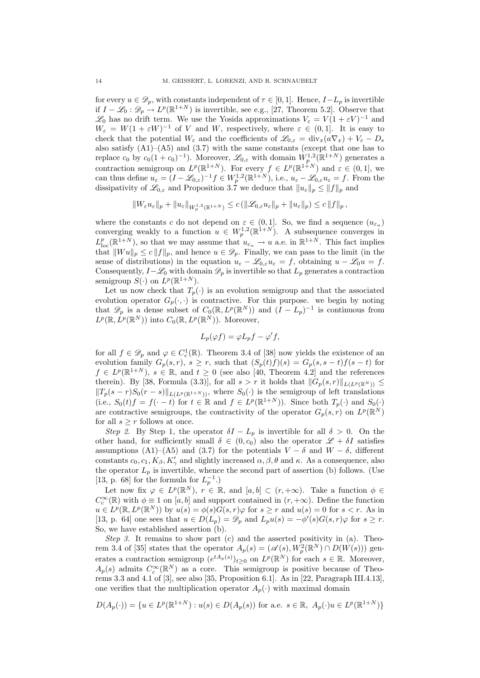for every  $u \in \mathscr{D}_p$ , with constants independent of  $\tau \in [0,1]$ . Hence,  $I-L_p$  is invertible if  $I - \mathscr{L}_0 : \mathscr{D}_p \to L^p(\mathbb{R}^{1+N})$  is invertible, see e.g., [27, Theorem 5.2]. Observe that  $\mathscr{L}_0$  has no drift term. We use the Yosida approximations  $V_\varepsilon = V(1 + \varepsilon V)^{-1}$  and  $W_{\varepsilon} = W(1 + \varepsilon W)^{-1}$  of V and W, respectively, where  $\varepsilon \in (0,1]$ . It is easy to check that the potential  $W_{\varepsilon}$  and the coefficients of  $\mathscr{L}_{0,\varepsilon} = \text{div}_x(a\nabla_x) + V_{\varepsilon} - D_s$ also satisfy (A1)–(A5) and (3.7) with the same constants (except that one has to replace  $c_0$  by  $c_0(1+c_0)^{-1}$ ). Moreover,  $\mathscr{L}_{0,\varepsilon}$  with domain  $W_p^{1,2}(\mathbb{R}^{1+N})$  generates a contraction semigroup on  $L^p(\mathbb{R}^{1+N})$ . For every  $f \in L^p(\mathbb{R}^{1+N})$  and  $\varepsilon \in (0,1]$ , we can thus define  $u_{\varepsilon} = (I - \mathcal{L}_{0,\varepsilon})^{-1} f \in W^{1,2}_p(\mathbb{R}^{1+N}),$  i.e.,  $u_{\varepsilon} - \mathcal{L}_{0,\varepsilon} u_{\varepsilon} = f$ . From the dissipativity of  $\mathscr{L}_{0,\varepsilon}$  and Proposition 3.7 we deduce that  $||u_{\varepsilon}||_p \leq ||f||_p$  and

$$
||W_{\varepsilon}u_{\varepsilon}||_p+||u_{\varepsilon}||_{W^{1,2}_p(\mathbb{R}^{1+N})}\leq c\left(||\mathscr{L}_{0,\varepsilon}u_{\varepsilon}||_p+||u_{\varepsilon}||_p\right)\leq c\,\|f\|_p\,,
$$

where the constants c do not depend on  $\varepsilon \in (0,1]$ . So, we find a sequence  $(u_{\varepsilon_n})$ converging weakly to a function  $u \in W_p^{1,2}(\mathbb{R}^{1+N})$ . A subsequence converges in  $L_{\text{loc}}^p(\mathbb{R}^{1+N})$ , so that we may assume that  $u_{\varepsilon_n} \to u$  a.e. in  $\mathbb{R}^{1+N}$ . This fact implies that  $||W u||_p \le c ||f||_p$ , and hence  $u \in \mathscr{D}_p$ . Finally, we can pass to the limit (in the sense of distributions) in the equation  $u_{\varepsilon} - \mathscr{L}_{0,\varepsilon}u_{\varepsilon} = f$ , obtaining  $u - \mathscr{L}_0u = f$ . Consequently,  $I-\mathscr{L}_0$  with domain  $\mathscr{D}_p$  is invertible so that  $L_p$  generates a contraction semigroup  $S(\cdot)$  on  $L^p(\mathbb{R}^{1+N})$ .

Let us now check that  $T_p(\cdot)$  is an evolution semigroup and that the associated evolution operator  $G_p(\cdot, \cdot)$  is contractive. For this purpose. we begin by noting that  $\mathscr{D}_p$  is a dense subset of  $C_0(\mathbb{R}, L^p(\mathbb{R}^N))$  and  $(I - L_p)^{-1}$  is continuous from  $L^p(\mathbb{R}, L^p(\mathbb{R}^N))$  into  $C_0(\mathbb{R}, L^p(\mathbb{R}^N))$ . Moreover,

$$
L_p(\varphi f) = \varphi L_p f - \varphi' f,
$$

for all  $f \in \mathscr{D}_p$  and  $\varphi \in C_c^1(\mathbb{R})$ . Theorem 3.4 of [38] now yields the existence of an evolution family  $G_p(s,r)$ ,  $s \geq r$ , such that  $(S_p(t)f)(s) = G_p(s, s-t)f(s-t)$  for  $f \in L^p(\mathbb{R}^{1+N})$ ,  $s \in \mathbb{R}$ , and  $t \geq 0$  (see also [40, Theorem 4.2] and the references therein). By [38, Formula (3.3)], for all  $s > r$  it holds that  $||G_p(s, r)||_{L(L^p(\mathbb{R}^N))} \le$  $||T_p(s - r)S_0(r - s)||_{L(L^p(\mathbb{R}^{1+N}))}$ , where  $S_0(\cdot)$  is the semigroup of left translations (i.e.,  $S_0(t)f = f(-t)$  for  $t \in \mathbb{R}$  and  $f \in L^p(\mathbb{R}^{1+N})$ ). Since both  $T_p(\cdot)$  and  $S_0(\cdot)$ are contractive semigroups, the contractivity of the operator  $G_p(s,r)$  on  $L^p(\mathbb{R}^N)$ for all  $s \geq r$  follows at once.

Step 2. By Step 1, the operator  $\delta I - L_p$  is invertible for all  $\delta > 0$ . On the other hand, for sufficiently small  $\delta \in (0, c_0)$  also the operator  $\mathscr{L} + \delta I$  satisfies assumptions (A1)–(A5) and (3.7) for the potentials  $V - \delta$  and  $W - \delta$ , different constants  $c_0, c_1, K_\beta, K'_\gamma$  and slightly increased  $\alpha, \beta, \theta$  and  $\kappa$ . As a consequence, also the operator  $L_p$  is invertible, whence the second part of assertion (b) follows. (Use [13, p. 68] for the formula for  $L_p^{-1}$ .)

Let now fix  $\varphi \in L^p(\mathbb{R}^N)$ ,  $r \in \mathbb{R}$ , and  $[a, b] \subset (r, +\infty)$ . Take a function  $\phi \in$  $C_c^{\infty}(\mathbb{R})$  with  $\phi \equiv 1$  on  $[a, b]$  and support contained in  $(r, +\infty)$ . Define the function  $u \in L^p(\mathbb{R}, L^p(\mathbb{R}^N))$  by  $u(s) = \phi(s)G(s, r)\varphi$  for  $s \geq r$  and  $u(s) = 0$  for  $s < r$ . As in [13, p. 64] one sees that  $u \in D(L_p) = \mathscr{D}_p$  and  $L_p u(s) = -\phi'(s)G(s,r)\varphi$  for  $s \geq r$ . So, we have established assertion (b).

Step 3. It remains to show part (c) and the asserted positivity in (a). Theorem 3.4 of [35] states that the operator  $A_p(s) = (\mathscr{A}(s), W_p^2(\mathbb{R}^N) \cap D(W(s)))$  generates a contraction semigroup  $(e^{tA_p(s)})_{t\geq 0}$  on  $L^p(\mathbb{R}^N)$  for each  $s \in \mathbb{R}$ . Moreover,  $A_p(s)$  admits  $C_c^{\infty}(\mathbb{R}^N)$  as a core. This semigroup is positive because of Theorems 3.3 and 4.1 of [3], see also [35, Proposition 6.1]. As in [22, Paragraph III.4.13], one verifies that the multiplication operator  $A_p(\cdot)$  with maximal domain

$$
D(A_p(\cdot)) = \{ u \in L^p(\mathbb{R}^{1+N}) : u(s) \in D(A_p(s)) \text{ for a.e. } s \in \mathbb{R}, A_p(\cdot)u \in L^p(\mathbb{R}^{1+N}) \}
$$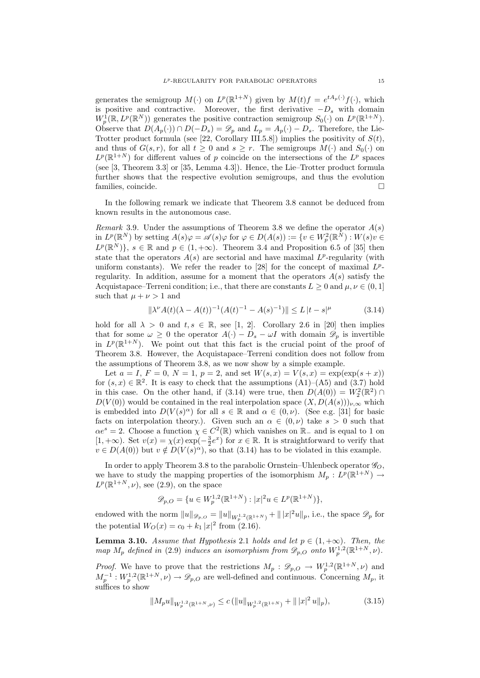generates the semigroup  $M(\cdot)$  on  $L^p(\mathbb{R}^{1+N})$  given by  $M(t)f = e^{tA_p(\cdot)}f(\cdot)$ , which is positive and contractive. Moreover, the first derivative  $-D_s$  with domain  $W_p^1(\mathbb{R}, L^p(\mathbb{R}^N))$  generates the positive contraction semigroup  $S_0(\cdot)$  on  $L^p(\mathbb{R}^{1+N})$ . Observe that  $D(A_p(\cdot)) \cap D(-D_s) = \mathscr{D}_p$  and  $L_p = A_p(\cdot) - D_s$ . Therefore, the Lie-Trotter product formula (see [22, Corollary III.5.8]) implies the positivity of  $S(t)$ , and thus of  $G(s, r)$ , for all  $t \geq 0$  and  $s \geq r$ . The semigroups  $M(\cdot)$  and  $S_0(\cdot)$  on  $L^p(\mathbb{R}^{1+N})$  for different values of p coincide on the intersections of the  $L^p$  spaces (see [3, Theorem 3.3] or [35, Lemma 4.3]). Hence, the Lie–Trotter product formula further shows that the respective evolution semigroups, and thus the evolution families, coincide.

In the following remark we indicate that Theorem 3.8 cannot be deduced from known results in the autonomous case.

Remark 3.9. Under the assumptions of Theorem 3.8 we define the operator  $A(s)$ in  $L^p(\mathbb{R}^N)$  by setting  $A(s)\varphi = \mathscr{A}(s)\varphi$  for  $\varphi \in D(A(s)) := \{v \in W_p^2(\mathbb{R}^N) : W(s)v \in$  $L^p(\mathbb{R}^N)$ ,  $s \in \mathbb{R}$  and  $p \in (1, +\infty)$ . Theorem 3.4 and Proposition 6.5 of [35] then state that the operators  $A(s)$  are sectorial and have maximal  $L^p$ -regularity (with uniform constants). We refer the reader to [28] for the concept of maximal  $L^p$ regularity. In addition, assume for a moment that the operators  $A(s)$  satisfy the Acquistapace–Terreni condition; i.e., that there are constants  $L \geq 0$  and  $\mu, \nu \in (0, 1]$ such that  $\mu + \nu > 1$  and

$$
\|\lambda^{\nu}A(t)(\lambda - A(t))^{-1}(A(t)^{-1} - A(s)^{-1})\| \le L|t - s|^{\mu} \tag{3.14}
$$

hold for all  $\lambda > 0$  and  $t, s \in \mathbb{R}$ , see [1, 2]. Corollary 2.6 in [20] then implies that for some  $\omega \geq 0$  the operator  $A(\cdot) - D_s - \omega I$  with domain  $\mathscr{D}_p$  is invertible in  $L^p(\mathbb{R}^{1+N})$ . We point out that this fact is the crucial point of the proof of Theorem 3.8. However, the Acquistapace–Terreni condition does not follow from the assumptions of Theorem 3.8, as we now show by a simple example.

Let  $a = I$ ,  $F = 0$ ,  $N = 1$ ,  $p = 2$ , and set  $W(s, x) = V(s, x) = \exp(\exp(s + x))$ for  $(s, x) \in \mathbb{R}^2$ . It is easy to check that the assumptions  $(A1)$ – $(A5)$  and  $(3.7)$  hold in this case. On the other hand, if (3.14) were true, then  $D(A(0)) = W_2^2(\mathbb{R}^2)$  $D(V(0))$  would be contained in the real interpolation space  $(X, D(A(s)))_{\nu,\infty}$  which is embedded into  $D(V(s)^{\alpha})$  for all  $s \in \mathbb{R}$  and  $\alpha \in (0, \nu)$ . (See e.g. [31] for basic facts on interpolation theory.). Given such an  $\alpha \in (0, \nu)$  take  $s > 0$  such that  $\alpha e^{s} = 2$ . Choose a function  $\chi \in C^{2}(\mathbb{R})$  which vanishes on  $\mathbb{R}_{-}$  and is equal to 1 on [1, +∞). Set  $v(x) = \chi(x) \exp(-\frac{3}{2}e^x)$  for  $x \in \mathbb{R}$ . It is straightforward to verify that  $v \in D(A(0))$  but  $v \notin D(V(s)^\alpha)$ , so that (3.14) has to be violated in this example.

In order to apply Theorem 3.8 to the parabolic Ornstein–Uhlenbeck operator  $\mathscr{G}_{O}$ , we have to study the mapping properties of the isomorphism  $M_p: L^p(\mathbb{R}^{1+N}) \to$  $L^p(\mathbb{R}^{1+N},\nu)$ , see (2.9), on the space

$$
\mathscr{D}_{p,O} = \{ u \in W_p^{1,2}(\mathbb{R}^{1+N}) : |x|^2 u \in L^p(\mathbb{R}^{1+N}) \},\
$$

endowed with the norm  $||u||_{\mathscr{D}_{p,O}} = ||u||_{W^{1,2}_p(\mathbb{R}^{1+N})} + ||x|^2u||_p$ , i.e., the space  $\mathscr{D}_p$  for the potential  $W_O(x) = c_0 + k_1 |x|^2$  from (2.16).

**Lemma 3.10.** Assume that Hypothesis 2.1 holds and let  $p \in (1, +\infty)$ . Then, the map  $M_p$  defined in (2.9) induces an isomorphism from  $\mathscr{D}_{p,O}$  onto  $W_p^{1,2}(\mathbb{R}^{1+N},\nu)$ .

*Proof.* We have to prove that the restrictions  $M_p: \mathscr{D}_{p,O} \to W^{1,2}_p(\mathbb{R}^{1+N},\nu)$  and  $M_p^{-1}: W_p^{1,2}(\mathbb{R}^{1+N}, \nu) \to \mathscr{D}_{p,O}$  are well-defined and continuous. Concerning  $M_p$ , it suffices to show

$$
||M_p u||_{W_p^{1,2}(\mathbb{R}^{1+N},\nu)} \le c \left( ||u||_{W_p^{1,2}(\mathbb{R}^{1+N})} + ||x|^2 u||_p \right),
$$
\n(3.15)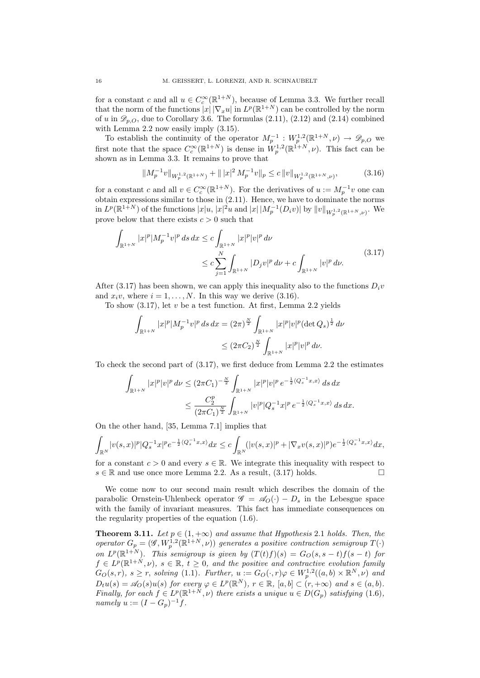for a constant c and all  $u \in C_c^{\infty}(\mathbb{R}^{1+N})$ , because of Lemma 3.3. We further recall that the norm of the functions  $|x| |\nabla_x u|$  in  $L^p(\mathbb{R}^{1+N})$  can be controlled by the norm of u in  $\mathscr{D}_{p,0}$ , due to Corollary 3.6. The formulas (2.11), (2.12) and (2.14) combined with Lemma 2.2 now easily imply (3.15).

To establish the continuity of the operator  $M_p^{-1}: W_p^{1,2}(\mathbb{R}^{1+N}, \nu) \to \mathscr{D}_{p,O}$  we first note that the space  $C_c^{\infty}(\mathbb{R}^{1+N})$  is dense in  $W_p^{1,2}(\mathbb{R}^{1+N},\nu)$ . This fact can be shown as in Lemma 3.3. It remains to prove that

$$
||M_p^{-1}v||_{W_p^{1,2}(\mathbb{R}^{1+N})} + ||x||^2 M_p^{-1}v||_p \le c ||v||_{W_p^{1,2}(\mathbb{R}^{1+N},\nu)},
$$
\n(3.16)

for a constant c and all  $v \in C_c^{\infty}(\mathbb{R}^{1+N})$ . For the derivatives of  $u := M_p^{-1}v$  one can obtain expressions similar to those in (2.11). Hence, we have to dominate the norms  $\text{in } L^p(\mathbb{R}^{1+N}) \text{ of the functions } |x|u, |x|^2u \text{ and } |x| \, |M_p^{-1}(D_i v)| \text{ by } ||v||_{W_p^{1,2}(\mathbb{R}^{1+N},\nu)}.$  We prove below that there exists  $c > 0$  such that

$$
\int_{\mathbb{R}^{1+N}} |x|^p |M_p^{-1}v|^p ds dx \le c \int_{\mathbb{R}^{1+N}} |x|^p |v|^p d\nu
$$
\n
$$
\le c \sum_{j=1}^N \int_{\mathbb{R}^{1+N}} |D_j v|^p d\nu + c \int_{\mathbb{R}^{1+N}} |v|^p d\nu. \tag{3.17}
$$

After (3.17) has been shown, we can apply this inequality also to the functions  $D_i v$ and  $x_i v$ , where  $i = 1, ..., N$ . In this way we derive (3.16).

To show  $(3.17)$ , let v be a test function. At first, Lemma 2.2 yields

$$
\int_{\mathbb{R}^{1+N}} |x|^p |M_p^{-1}v|^p \, ds \, dx = (2\pi)^{\frac{N}{2}} \int_{\mathbb{R}^{1+N}} |x|^p |v|^p (\det Q_s)^{\frac{1}{2}} \, dv
$$
  

$$
\leq (2\pi C_2)^{\frac{N}{2}} \int_{\mathbb{R}^{1+N}} |x|^p |v|^p \, dv.
$$

To check the second part of (3.17), we first deduce from Lemma 2.2 the estimates

$$
\int_{\mathbb{R}^{1+N}} |x|^p |v|^p \, dv \le (2\pi C_1)^{-\frac{N}{2}} \int_{\mathbb{R}^{1+N}} |x|^p |v|^p \, e^{-\frac{1}{2} \langle Q_s^{-1} x, x \rangle} \, ds \, dx
$$
\n
$$
\le \frac{C_2^p}{(2\pi C_1)^{\frac{N}{2}}} \int_{\mathbb{R}^{1+N}} |v|^p |Q_s^{-1} x|^p \, e^{-\frac{1}{2} \langle Q_s^{-1} x, x \rangle} \, ds \, dx.
$$

On the other hand, [35, Lemma 7.1] implies that

$$
\int_{\mathbb{R}^N} |v(s,x)|^p |Q_s^{-1}x|^p e^{-\frac{1}{2}\langle Q_s^{-1}x,x\rangle} dx \leq c \int_{\mathbb{R}^N} (|v(s,x)|^p + |\nabla_x v(s,x)|^p) e^{-\frac{1}{2}\langle Q_s^{-1}x,x\rangle} dx,
$$

for a constant  $c > 0$  and every  $s \in \mathbb{R}$ . We integrate this inequality with respect to  $s \in \mathbb{R}$  and use once more Lemma 2.2. As a result, (3.17) holds.

We come now to our second main result which describes the domain of the parabolic Ornstein-Uhlenbeck operator  $\mathscr{G} = \mathscr{A}_{\Omega}(\cdot) - D_{s}$  in the Lebesgue space with the family of invariant measures. This fact has immediate consequences on the regularity properties of the equation (1.6).

**Theorem 3.11.** Let  $p \in (1, +\infty)$  and assume that Hypothesis 2.1 holds. Then, the operator  $G_p = (G, W_p^{\frac{1}{2}}(\mathbb{R}^{1+N}, \nu))$  generates a positive contraction semigroup  $T(\cdot)$ on  $L^p(\mathbb{R}^{1+N})$ . This semigroup is given by  $(T(t)f)(s) = G_O(s, s-t)f(s-t)$  for  $f \in L^p(\mathbb{R}^{1+N}, \nu)$ ,  $s \in \mathbb{R}, t \geq 0$ , and the positive and contractive evolution family  $G_O(s,r)$ ,  $s \geq r$ , solving (1.1). Further,  $u := G_O(\cdot, r)\varphi \in W^{1,2}_p((a, b) \times \mathbb{R}^N, \nu)$  and  $D_t u(s) = \mathscr{A}_O(s) u(s)$  for every  $\varphi \in L^p(\mathbb{R}^N)$ ,  $r \in \mathbb{R}$ ,  $[a, b] \subset (r, +\infty)$  and  $s \in (a, b)$ . Finally, for each  $f \in L^p(\mathbb{R}^{1+N}, \nu)$  there exists a unique  $u \in D(G_p)$  satisfying  $(1.6)$ ,  $namely u := (I - G_p)^{-1}f.$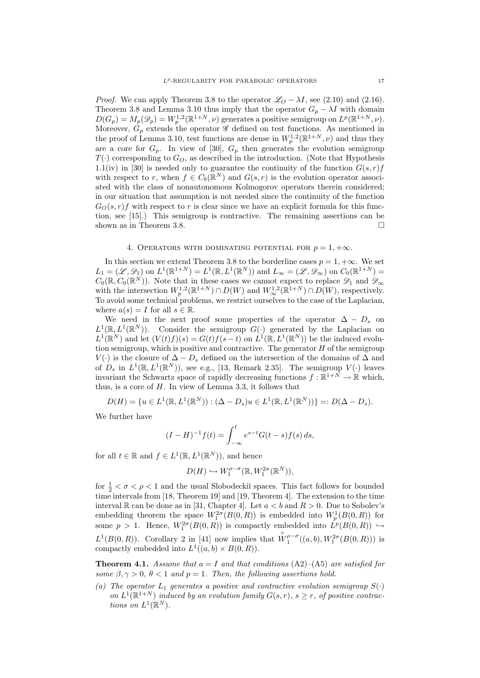*Proof.* We can apply Theorem 3.8 to the operator  $\mathscr{L}_O - \lambda I$ , see (2.10) and (2.16). Theorem 3.8 and Lemma 3.10 thus imply that the operator  $G_p - \lambda I$  with domain  $D(G_p) = M_p(\mathscr{D}_p) = W_p^{1,2}(\mathbb{R}^{1+N}, \nu)$  generates a positive semigroup on  $L^p(\mathbb{R}^{1+N}, \nu)$ . Moreover,  $G_p$  extends the operator  $\mathscr G$  defined on test functions. As mentioned in the proof of Lemma 3.10, test functions are dense in  $W_p^{1,2}(\mathbb{R}^{1+N}, \nu)$  and thus they are a core for  $G_p$ . In view of [30],  $G_p$  then generates the evolution semigroup  $T(\cdot)$  corresponding to  $G_O$ , as described in the introduction. (Note that Hypothesis 1.1(iv) in [30] is needed only to guarantee the continuity of the function  $G(s, r)f$ with respect to r, when  $f \in C_b(\mathbb{R}^N)$  and  $G(s,r)$  is the evolution operator associated with the class of nonautonomous Kolmogorov operators therein considered; in our situation that assumption is not needed since the continuity of the function  $G_O(s, r)f$  with respect to r is clear since we have an explicit formula for this function, see [15].) This semigroup is contractive. The remaining assertions can be shown as in Theorem 3.8.

## 4. OPERATORS WITH DOMINATING POTENTIAL FOR  $p = 1, +\infty$ .

In this section we extend Theorem 3.8 to the borderline cases  $p = 1, +\infty$ . We set  $L_1 = (\mathscr{L}, \mathscr{D}_1)$  on  $L^1(\mathbb{R}^{1+N}) = L^1(\mathbb{R}, L^1(\mathbb{R}^N))$  and  $L_\infty = (\mathscr{L}, \mathscr{D}_\infty)$  on  $C_0(\mathbb{R}^{1+N}) =$  $C_0(\mathbb{R}, C_0(\mathbb{R}^N))$ . Note that in these cases we cannot expect to replace  $\mathscr{D}_1$  and  $\mathscr{D}_{\infty}$ with the intersection  $W_p^{1,2}(\mathbb{R}^{1+N}) \cap D(W)$  and  $W_\infty^{1,2}(\mathbb{R}^{1+N}) \cap D(W)$ , respectively. To avoid some technical problems, we restrict ourselves to the case of the Laplacian, where  $a(s) = I$  for all  $s \in \mathbb{R}$ .

We need in the next proof some properties of the operator  $\Delta - D_s$  on  $L^1(\mathbb{R}, L^1(\mathbb{R}^N))$ . Consider the semigroup  $G(\cdot)$  generated by the Laplacian on  $L^1(\mathbb{R}^N)$  and let  $(V(t)f)(s) = G(t)f(s-t)$  on  $L^1(\mathbb{R}, L^1(\mathbb{R}^N))$  be the induced evolution semigroup, which is positive and contractive. The generator  $H$  of the semigroup V( $\cdot$ ) is the closure of  $\Delta - D_s$  defined on the intersection of the domains of  $\Delta$  and of  $D_s$  in  $L^1(\mathbb{R}, L^1(\mathbb{R}^N))$ , see e.g., [13, Remark 2.35]. The semigroup  $V(\cdot)$  leaves invariant the Schwartz space of rapidly decreasing functions  $f : \mathbb{R}^{1+N} \to \mathbb{R}$  which, thus, is a core of  $H$ . In view of Lemma 3.3, it follows that

$$
D(H) = \{ u \in L^{1}(\mathbb{R}, L^{1}(\mathbb{R}^{N})) : (\Delta - D_{s})u \in L^{1}(\mathbb{R}, L^{1}(\mathbb{R}^{N})) \} =: D(\Delta - D_{s}).
$$

We further have

$$
(I - H)^{-1} f(t) = \int_{-\infty}^{t} e^{s - t} G(t - s) f(s) \, ds,
$$

for all  $t \in \mathbb{R}$  and  $f \in L^1(\mathbb{R}, L^1(\mathbb{R}^N))$ , and hence

$$
D(H) \hookrightarrow W_1^{\rho-\sigma}(\mathbb{R}, W_1^{2\sigma}(\mathbb{R}^N)),
$$

for  $\frac{1}{2} < \sigma < \rho < 1$  and the usual Slobodeckiı̆ spaces. This fact follows for bounded time intervals from [18, Theorem 19] and [19, Theorem 4]. The extension to the time interval R can be done as in [31, Chapter 4]. Let  $a < b$  and  $R > 0$ . Due to Sobolev's embedding theorem the space  $W_1^{2\sigma}(B(0,R))$  is embedded into  $W_p^1(B(0,R))$  for some  $p > 1$ . Hence,  $W_1^{2\sigma}(B(0,R))$  is compactly embedded into  $L^p(B(0,R)) \hookrightarrow$  $L^1(B(0,R))$ . Corollary 2 in [41] now implies that  $\overset{\circ}{W}^{\rho-\sigma}_1((a,b), W^{2\sigma}_1(B(0,R)))$  is compactly embedded into  $L^1((a, b) \times B(0, R)).$ 

**Theorem 4.1.** Assume that  $a = I$  and that conditions  $(A2)$ – $(A5)$  are satisfied for some  $\beta, \gamma > 0$ ,  $\theta < 1$  and  $p = 1$ . Then, the following assertions hold.

(a) The operator  $L_1$  generates a positive and contractive evolution semigroup  $S(\cdot)$ on  $L^1(\mathbb{R}^{1+N})$  induced by an evolution family  $G(s,r)$ ,  $s \geq r$ , of positive contractions on  $L^1(\mathbb{R}^N)$ .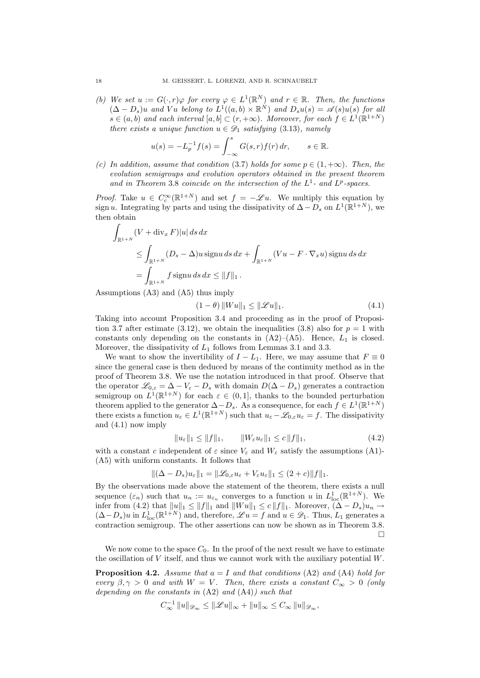(b) We set  $u := G(\cdot, r) \varphi$  for every  $\varphi \in L^1(\mathbb{R}^N)$  and  $r \in \mathbb{R}$ . Then, the functions  $(\Delta - D_s)u$  and Vu belong to  $L^1((a, b) \times \mathbb{R}^N)$  and  $D_s u(s) = \mathscr{A}(s)u(s)$  for all  $s \in (a, b)$  and each interval  $[a, b] \subset (r, +\infty)$ . Moreover, for each  $f \in L^1(\mathbb{R}^{1+N})$ there exists a unique function  $u \in \mathscr{D}_1$  satisfying (3.13), namely

$$
u(s) = -L_p^{-1} f(s) = \int_{-\infty}^s G(s, r) f(r) dr, \quad s \in \mathbb{R}.
$$

(c) In addition, assume that condition (3.7) holds for some  $p \in (1, +\infty)$ . Then, the evolution semigroups and evolution operators obtained in the present theorem and in Theorem 3.8 coincide on the intersection of the  $L^1$ - and  $L^p$ -spaces.

*Proof.* Take  $u \in C_c^{\infty}(\mathbb{R}^{1+N})$  and set  $f = -\mathscr{L}u$ . We multiply this equation by sign u. Integrating by parts and using the dissipativity of  $\Delta - D_s$  on  $L^1(\mathbb{R}^{1+N})$ , we then obtain

$$
\int_{\mathbb{R}^{1+N}} (V + \operatorname{div}_x F)|u| \, ds \, dx
$$
\n
$$
\leq \int_{\mathbb{R}^{1+N}} (D_s - \Delta)u \operatorname{sign} u \, ds \, dx + \int_{\mathbb{R}^{1+N}} (Vu - F \cdot \nabla_x u) \operatorname{sign} u \, ds \, dx
$$
\n
$$
= \int_{\mathbb{R}^{1+N}} f \operatorname{sign} u \, ds \, dx \leq ||f||_1.
$$

Assumptions (A3) and (A5) thus imply

$$
(1 - \theta) \|Wu\|_1 \le \|\mathcal{L}u\|_1. \tag{4.1}
$$

Taking into account Proposition 3.4 and proceeding as in the proof of Proposition 3.7 after estimate (3.12), we obtain the inequalities (3.8) also for  $p = 1$  with constants only depending on the constants in  $(A2)$ – $(A5)$ . Hence,  $L_1$  is closed. Moreover, the dissipativity of  $L_1$  follows from Lemmas 3.1 and 3.3.

We want to show the invertibility of  $I - L_1$ . Here, we may assume that  $F \equiv 0$ since the general case is then deduced by means of the continuity method as in the proof of Theorem 3.8. We use the notation introduced in that proof. Observe that the operator  $\mathscr{L}_{0,\varepsilon} = \Delta - V_{\varepsilon} - D_s$  with domain  $D(\Delta - D_s)$  generates a contraction semigroup on  $L^1(\mathbb{R}^{1+N})$  for each  $\varepsilon \in (0,1]$ , thanks to the bounded perturbation theorem applied to the generator  $\Delta - D_s$ . As a consequence, for each  $f \in L^1(\mathbb{R}^{1+N})$ there exists a function  $u_{\varepsilon} \in L^1(\mathbb{R}^{1+N})$  such that  $u_{\varepsilon} - \mathscr{L}_{0,\varepsilon} u_{\varepsilon} = f$ . The dissipativity and (4.1) now imply

$$
||u_{\varepsilon}||_1 \le ||f||_1, \qquad ||W_{\varepsilon}u_{\varepsilon}||_1 \le c||f||_1, \tag{4.2}
$$

with a constant c independent of  $\varepsilon$  since  $V_{\varepsilon}$  and  $W_{\varepsilon}$  satisfy the assumptions (A1)-(A5) with uniform constants. It follows that

$$
\|(\Delta - D_s)u_{\varepsilon}\|_1 = \|\mathscr{L}_{0,\varepsilon}u_{\varepsilon} + V_{\varepsilon}u_{\varepsilon}\|_1 \leq (2+c)\|f\|_1.
$$

By the observations made above the statement of the theorem, there exists a null sequence  $(\varepsilon_n)$  such that  $u_n := u_{\varepsilon_n}$  converges to a function u in  $L^1_{loc}(\mathbb{R}^{1+N})$ . We infer from (4.2) that  $||u||_1 \leq ||f||_1$  and  $||W u||_1 \leq c ||f||_1$ . Moreover,  $(\Delta - D_s)u_n \to$  $(\Delta - D_s)u$  in  $L^1_{loc}(\mathbb{R}^{1+N})$  and, therefore,  $\mathscr{L}u = f$  and  $u \in \mathscr{D}_1$ . Thus,  $L_1$  generates a contraction semigroup. The other assertions can now be shown as in Theorem 3.8.  $\Box$ 

We now come to the space  $C_0$ . In the proof of the next result we have to estimate the oscillation of  $V$  itself, and thus we cannot work with the auxiliary potential  $W$ .

**Proposition 4.2.** Assume that  $a = I$  and that conditions (A2) and (A4) hold for every  $\beta, \gamma > 0$  and with  $W = V$ . Then, there exists a constant  $C_{\infty} > 0$  (only depending on the constants in  $(A2)$  and  $(A4)$ ) such that

$$
C_\infty^{-1}\,\|u\|_{{\mathscr D}_\infty}\le\|{\mathscr L} u\|_\infty+\|u\|_\infty\le C_\infty\,\|u\|_{{\mathscr D}_\infty},
$$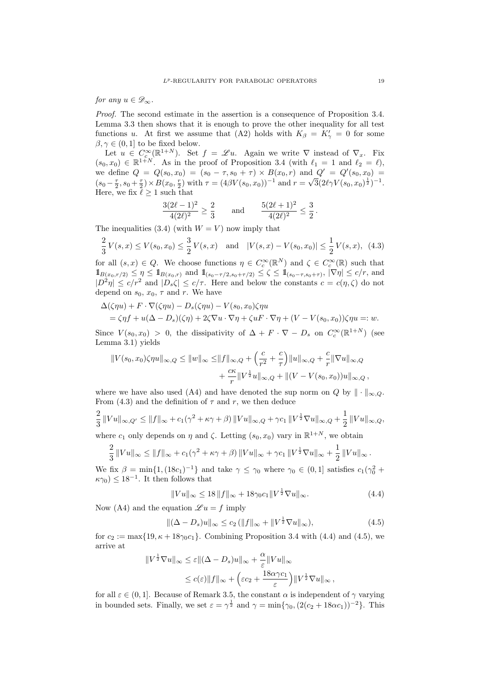for any  $u \in \mathscr{D}_{\infty}$ .

Proof. The second estimate in the assertion is a consequence of Proposition 3.4. Lemma 3.3 then shows that it is enough to prove the other inequality for all test functions u. At first we assume that (A2) holds with  $K_{\beta} = K'_{\gamma} = 0$  for some  $\beta, \gamma \in (0, 1]$  to be fixed below.

Let  $u \in C_c^{\infty}(\mathbb{R}^{1+N})$ . Set  $f = \mathscr{L}u$ . Again we write  $\nabla$  instead of  $\nabla_x$ . Fix  $(s_0, x_0) \in \mathbb{R}^{1+N}$ . As in the proof of Proposition 3.4 (with  $\ell_1 = 1$  and  $\ell_2 = \ell$ ), we define  $Q = Q(s_0, x_0) = (s_0 - \tau, s_0 + \tau) \times B(x_0, r)$  and  $Q' = Q'(s_0, x_0) =$  $(s_0 - \frac{\tau}{2}, s_0 + \frac{\tau}{2}) \times B(x_0, \frac{\tau}{2})$  with  $\tau = (4\beta V(s_0, x_0))^{-1}$  and  $r = \sqrt{3}(2\ell \gamma V(s_0, x_0)^{\frac{1}{2}})^{-1}$ . Here, we fix  $\ell \geq 1$  such that

$$
\frac{3(2\ell-1)^2}{4(2\ell)^2} \ge \frac{2}{3} \quad \text{and} \quad \frac{5(2\ell+1)^2}{4(2\ell)^2} \le \frac{3}{2}.
$$

The inequalities (3.4) (with  $W = V$ ) now imply that

$$
\frac{2}{3}V(s,x) \le V(s_0,x_0) \le \frac{3}{2}V(s,x) \quad \text{and} \quad |V(s,x) - V(s_0,x_0)| \le \frac{1}{2}V(s,x), \tag{4.3}
$$

for all  $(s, x) \in Q$ . We choose functions  $\eta \in C_c^{\infty}(\mathbb{R}^N)$  and  $\zeta \in C_c^{\infty}(\mathbb{R})$  such that  $1\!\!1_{B(x_0,r/2)} \leq \eta \leq 1\!\!1_{B(x_0,r)}$  and  $1\!\!1_{(s_0-\tau/2,s_0+\tau/2)} \leq \zeta \leq 1\!\!1_{(s_0-\tau,s_0+\tau)}, |\nabla \eta| \leq c/r$ , and  $|D^2\eta| \leq c/r^2$  and  $|D_s\zeta| \leq c/\tau$ . Here and below the constants  $c = c(\eta, \zeta)$  do not depend on  $s_0, x_0, \tau$  and r. We have

$$
\Delta(\zeta \eta u) + F \cdot \nabla(\zeta \eta u) - D_s(\zeta \eta u) - V(s_0, x_0) \zeta \eta u
$$
  
=  $\zeta \eta f + u(\Delta - D_s)(\zeta \eta) + 2\zeta \nabla u \cdot \nabla \eta + \zeta u \cdot \nabla \eta + (V - V(s_0, x_0)) \zeta \eta u =: w.$ 

Since  $V(s_0, x_0) > 0$ , the dissipativity of  $\Delta + F \cdot \nabla - D_s$  on  $C_c^{\infty}(\mathbb{R}^{1+N})$  (see Lemma 3.1) yields

$$
||V(s_0, x_0)\zeta \eta u||_{\infty,Q} \le ||w||_{\infty} \le ||f||_{\infty,Q} + \left(\frac{c}{r^2} + \frac{c}{\tau}\right) ||u||_{\infty,Q} + \frac{c}{r} ||\nabla u||_{\infty,Q} + \frac{c\kappa}{r} ||V^{\frac{1}{2}}u||_{\infty,Q} + ||(V - V(s_0, x_0))u||_{\infty,Q},
$$

where we have also used (A4) and have denoted the sup norm on Q by  $\|\cdot\|_{\infty,O}$ . From (4.3) and the definition of  $\tau$  and r, we then deduce

$$
\frac{2}{3} ||Vu||_{\infty,Q'} \leq ||f||_{\infty} + c_1(\gamma^2 + \kappa \gamma + \beta) ||Vu||_{\infty,Q} + \gamma c_1 ||V^{\frac{1}{2}}\nabla u||_{\infty,Q} + \frac{1}{2} ||Vu||_{\infty,Q},
$$

where  $c_1$  only depends on  $\eta$  and  $\zeta$ . Letting  $(s_0, x_0)$  vary in  $\mathbb{R}^{1+N}$ , we obtain

$$
\frac{2}{3} ||Vu||_{\infty} \leq ||f||_{\infty} + c_1(\gamma^2 + \kappa \gamma + \beta) ||Vu||_{\infty} + \gamma c_1 ||V^{\frac{1}{2}}\nabla u||_{\infty} + \frac{1}{2} ||Vu||_{\infty}.
$$

We fix  $\beta = \min\{1, (18c_1)^{-1}\}\$ and take  $\gamma \leq \gamma_0$  where  $\gamma_0 \in (0, 1]$  satisfies  $c_1(\gamma_0^2 +$  $\kappa\gamma_0$ )  $\leq 18^{-1}$ . It then follows that

$$
||Vu||_{\infty} \le 18 ||f||_{\infty} + 18\gamma_0 c_1 ||V^{\frac{1}{2}}\nabla u||_{\infty}.
$$
\n(4.4)

Now (A4) and the equation  $\mathscr{L} u = f$  imply

$$
\| (\Delta - D_s)u \|_{\infty} \le c_2 (\|f\|_{\infty} + \|V^{\frac{1}{2}} \nabla u \|_{\infty}), \tag{4.5}
$$

for  $c_2 := \max\{19, \kappa + 18\gamma_0 c_1\}$ . Combining Proposition 3.4 with (4.4) and (4.5), we arrive at

$$
||V^{\frac{1}{2}}\nabla u||_{\infty} \leq \varepsilon ||(\Delta - D_s)u||_{\infty} + \frac{\alpha}{\varepsilon} ||Vu||_{\infty}
$$
  

$$
\leq c(\varepsilon) ||f||_{\infty} + \left(\varepsilon c_2 + \frac{18\alpha\gamma c_1}{\varepsilon}\right) ||V^{\frac{1}{2}}\nabla u||_{\infty},
$$

for all  $\varepsilon \in (0,1]$ . Because of Remark 3.5, the constant  $\alpha$  is independent of  $\gamma$  varying in bounded sets. Finally, we set  $\varepsilon = \gamma^{\frac{1}{2}}$  and  $\gamma = \min{\gamma_0, (2(c_2 + 18\alpha c_1))^{-2}}$ . This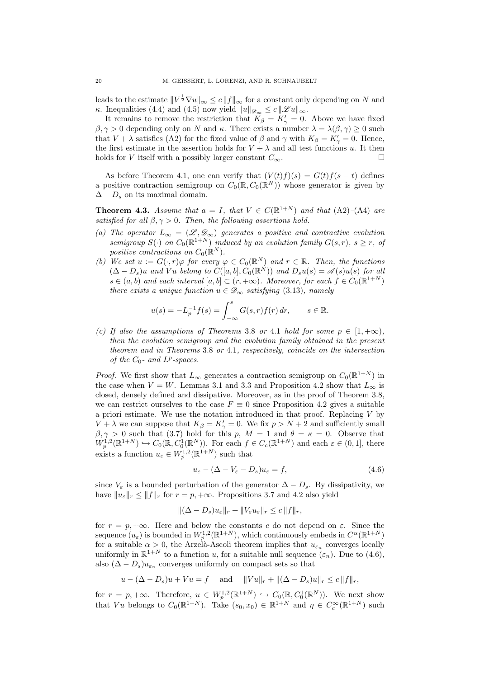leads to the estimate  $||V^{\frac{1}{2}}\nabla u||_{\infty} \leq c ||f||_{\infty}$  for a constant only depending on N and κ. Inequalities (4.4) and (4.5) now yield  $||u||_{\mathscr{D}_{\infty}} \leq c ||\mathscr{L}u||_{\infty}$ .

It remains to remove the restriction that  $K_{\beta} = K'_{\gamma} = 0$ . Above we have fixed  $\beta, \gamma > 0$  depending only on N and  $\kappa$ . There exists a number  $\lambda = \lambda(\beta, \gamma) \geq 0$  such that  $V + \lambda$  satisfies (A2) for the fixed value of  $\beta$  and  $\gamma$  with  $K_{\beta} = K'_{\gamma} = 0$ . Hence, the first estimate in the assertion holds for  $V + \lambda$  and all test functions u. It then holds for V itself with a possibly larger constant  $C_{\infty}$ .

As before Theorem 4.1, one can verify that  $(V(t)f)(s) = G(t)f(s-t)$  defines a positive contraction semigroup on  $C_0(\mathbb{R}, C_0(\mathbb{R}^N))$  whose generator is given by  $\Delta - D_s$  on its maximal domain.

**Theorem 4.3.** Assume that  $a = I$ , that  $V \in C(\mathbb{R}^{1+N})$  and that  $(A2)$ - $(A4)$  are satisfied for all  $\beta, \gamma > 0$ . Then, the following assertions hold.

- (a) The operator  $L_{\infty} = (\mathscr{L}, \mathscr{D}_{\infty})$  generates a positive and contractive evolution semigroup  $S(\cdot)$  on  $C_0(\mathbb{R}^{1+N})$  induced by an evolution family  $G(s,r)$ ,  $s \geq r$ , of positive contractions on  $C_0(\mathbb{R}^N)$ .
- (b) We set  $u := G(\cdot, r) \varphi$  for every  $\varphi \in C_0(\mathbb{R}^N)$  and  $r \in \mathbb{R}$ . Then, the functions  $(\Delta - D_s)u$  and Vu belong to  $C([a, b], C_0(\mathbb{R}^N))$  and  $D_s u(s) = \mathscr{A}(s)u(s)$  for all  $s \in (a, b)$  and each interval  $[a, b] \subset (r, +\infty)$ . Moreover, for each  $f \in C_0(\mathbb{R}^{1+N})$ there exists a unique function  $u \in \mathscr{D}_{\infty}$  satisfying (3.13), namely

$$
u(s) = -L_p^{-1}f(s) = \int_{-\infty}^s G(s, r)f(r) dr, \quad s \in \mathbb{R}.
$$

(c) If also the assumptions of Theorems 3.8 or 4.1 hold for some  $p \in [1, +\infty)$ , then the evolution semigroup and the evolution family obtained in the present theorem and in Theorems 3.8 or 4.1, respectively, coincide on the intersection of the  $C_0$ - and  $L^p$ -spaces.

*Proof.* We first show that  $L_{\infty}$  generates a contraction semigroup on  $C_0(\mathbb{R}^{1+N})$  in the case when  $V = W$ . Lemmas 3.1 and 3.3 and Proposition 4.2 show that  $L_{\infty}$  is closed, densely defined and dissipative. Moreover, as in the proof of Theorem 3.8, we can restrict ourselves to the case  $F \equiv 0$  since Proposition 4.2 gives a suitable a priori estimate. We use the notation introduced in that proof. Replacing  $V$  by  $V + \lambda$  we can suppose that  $K_{\beta} = K_{\gamma}' = 0$ . We fix  $p > N + 2$  and sufficiently small  $\beta, \gamma > 0$  such that (3.7) hold for this p,  $M = 1$  and  $\theta = \kappa = 0$ . Observe that  $W_p^{1,2}(\mathbb{R}^{1+N}) \hookrightarrow C_0(\mathbb{R}, C_0^1(\mathbb{R}^N))$ . For each  $f \in C_c(\mathbb{R}^{1+N})$  and each  $\varepsilon \in (0,1]$ , there exists a function  $u_{\varepsilon} \in W_p^{1,2}(\mathbb{R}^{1+N})$  such that

$$
u_{\varepsilon} - (\Delta - V_{\varepsilon} - D_s)u_{\varepsilon} = f,\tag{4.6}
$$

since  $V_{\varepsilon}$  is a bounded perturbation of the generator  $\Delta - D_s$ . By dissipativity, we have  $||u_{\varepsilon}||_r \le ||f||_r$  for  $r = p, +\infty$ . Propositions 3.7 and 4.2 also yield

$$
\|(\Delta - D_s)u_{\varepsilon}\|_r + \|V_{\varepsilon}u_{\varepsilon}\|_r \leq c\, \|f\|_r,
$$

for  $r = p, +\infty$ . Here and below the constants c do not depend on  $\varepsilon$ . Since the sequence  $(u_{\varepsilon})$  is bounded in  $W_p^{1,2}(\mathbb{R}^{1+N})$ , which continuously embeds in  $C^{\alpha}(\mathbb{R}^{1+N})$ for a suitable  $\alpha > 0$ , the Arzelà-Ascoli theorem implies that  $u_{\epsilon_n}$  converges locally uniformly in  $\mathbb{R}^{1+N}$  to a function u, for a suitable null sequence  $(\varepsilon_n)$ . Due to  $(4.6)$ , also  $(\Delta - D_s)u_{\varepsilon_n}$  converges uniformly on compact sets so that

$$
u - (\Delta - D_s)u + Vu = f
$$
 and  $||Vu||_r + ||(\Delta - D_s)u||_r \le c ||f||_r$ ,

for  $r = p, +\infty$ . Therefore,  $u \in W_p^{1,2}(\mathbb{R}^{1+N}) \hookrightarrow C_0(\mathbb{R}, C_0^1(\mathbb{R}^N))$ . We next show that Vu belongs to  $C_0(\mathbb{R}^{1+N})$ . Take  $(s_0, x_0) \in \mathbb{R}^{1+N}$  and  $\eta \in C_c^{\infty}(\mathbb{R}^{1+N})$  such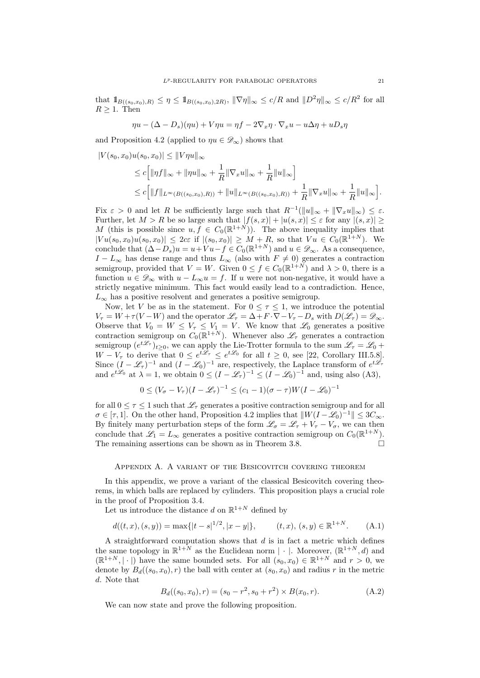that  $1\!\!1_{B((s_0,x_0),R)} \leq \eta \leq 1\!\!1_{B((s_0,x_0),2R)}, \|\nabla \eta\|_{\infty} \leq c/R$  and  $\|D^2\eta\|_{\infty} \leq c/R^2$  for all  $R > 1$ . Then

 $\eta u - (\Delta - D_s)(\eta u) + V \eta u = \eta f - 2 \nabla_x \eta \cdot \nabla_x u - u \Delta \eta + u D_s \eta$ 

and Proposition 4.2 (applied to  $\eta u \in \mathscr{D}_{\infty}$ ) shows that

$$
|V(s_0, x_0)u(s_0, x_0)| \le ||V\eta u||_{\infty}
$$
  
\n
$$
\le c\Big[\|\eta f\|_{\infty} + \|\eta u\|_{\infty} + \frac{1}{R}\|\nabla_x u\|_{\infty} + \frac{1}{R}\|u\|_{\infty}\Big]
$$
  
\n
$$
\le c\Big[\|f\|_{L^{\infty}(B((s_0, x_0), R))} + \|u\|_{L^{\infty}(B((s_0, x_0), R))} + \frac{1}{R}\|\nabla_x u\|_{\infty} + \frac{1}{R}\|u\|_{\infty}\Big].
$$

Fix  $\varepsilon > 0$  and let R be sufficiently large such that  $R^{-1}(\|u\|_{\infty} + \|\nabla_x u\|_{\infty}) \leq \varepsilon$ . Further, let  $M > R$  be so large such that  $|f(s,x)| + |u(s,x)| \leq \varepsilon$  for any  $|(s,x)| \geq$ M (this is possible since  $u, f \in C_0(\mathbb{R}^{1+N})$ ). The above inequality implies that  $|Vu(s_0, x_0)u(s_0, x_0)| \leq 2c\varepsilon$  if  $|(s_0, x_0)| \geq M + R$ , so that  $Vu \in C_0(\mathbb{R}^{1+N})$ . We conclude that  $(\Delta - D_s)u = u + Vu - f \in C_0(\mathbb{R}^{1+N})$  and  $u \in \mathscr{D}_{\infty}$ . As a consequence,  $I - L_{\infty}$  has dense range and thus  $L_{\infty}$  (also with  $F \neq 0$ ) generates a contraction semigroup, provided that  $V = W$ . Given  $0 \le f \in C_0(\mathbb{R}^{1+N})$  and  $\lambda > 0$ , there is a function  $u \in \mathscr{D}_{\infty}$  with  $u - L_{\infty}u = f$ . If u were not non-negative, it would have a strictly negative minimum. This fact would easily lead to a contradiction. Hence,  $L_{\infty}$  has a positive resolvent and generates a positive semigroup.

Now, let V be as in the statement. For  $0 \leq \tau \leq 1$ , we introduce the potential  $V_{\tau} = W + \tau (V - W)$  and the operator  $\mathscr{L}_{\tau} = \Delta + F \cdot \nabla - V_{\tau} - D_s$  with  $D(\mathscr{L}_{\tau}) = \mathscr{D}_{\infty}$ . Observe that  $V_0 = W \leq V_\tau \leq V_1 = V$ . We know that  $\mathcal{L}_0$  generates a positive contraction semigroup on  $C_0(\mathbb{R}^{1+N})$ . Whenever also  $\mathscr{L}_{\tau}$  generates a contraction semigroup  $(e^{t\mathscr{L}_{\tau}})_{t\geq0}$ , we can apply the Lie-Trotter formula to the sum  $\mathscr{L}_{\tau}=\mathscr{L}_0 +$  $W - V_{\tau}$  to derive that  $0 \leq e^{t\mathscr{L}_{\tau}} \leq e^{t\mathscr{L}_{0}}$  for all  $t \geq 0$ , see [22, Corollary III.5.8]. Since  $(I - \mathscr{L}_{\tau})^{-1}$  and  $(I - \mathscr{L}_{0})^{-1}$  are, respectively, the Laplace transform of  $e^{t\mathscr{L}_{\tau}}$ and  $e^{t\mathscr{L}_0}$  at  $\lambda = 1$ , we obtain  $0 \leq (I - \mathscr{L}_\tau)^{-1} \leq (I - \mathscr{L}_0)^{-1}$  and, using also (A3),

$$
0 \le (V_{\sigma} - V_{\tau})(I - \mathcal{L}_{\tau})^{-1} \le (c_1 - 1)(\sigma - \tau)W(I - \mathcal{L}_0)^{-1}
$$

for all  $0 \leq \tau \leq 1$  such that  $\mathscr{L}_{\tau}$  generates a positive contraction semigroup and for all  $\sigma \in [\tau, 1]$ . On the other hand, Proposition 4.2 implies that  $||W(I - \mathcal{L}_0)^{-1}|| \leq 3C_{\infty}$ . By finitely many perturbation steps of the form  $\mathscr{L}_{\sigma} = \mathscr{L}_{\tau} + V_{\tau} - V_{\sigma}$ , we can then conclude that  $\mathscr{L}_1 = L_{\infty}$  generates a positive contraction semigroup on  $C_0(\mathbb{R}^{1+N})$ . The remaining assertions can be shown as in Theorem 3.8.

#### Appendix A. A variant of the Besicovitch covering theorem

In this appendix, we prove a variant of the classical Besicovitch covering theorems, in which balls are replaced by cylinders. This proposition plays a crucial role in the proof of Proposition 3.4.

Let us introduce the distance d on  $\mathbb{R}^{1+N}$  defined by

$$
d((t, x), (s, y)) = \max\{|t - s|^{1/2}, |x - y|\}, \qquad (t, x), (s, y) \in \mathbb{R}^{1+N}.
$$
 (A.1)

A straightforward computation shows that  $d$  is in fact a metric which defines the same topology in  $\mathbb{R}^{1+N}$  as the Euclidean norm  $|\cdot|$ . Moreover,  $(\mathbb{R}^{1+N}, d)$  and  $(\mathbb{R}^{1+N}, |\cdot|)$  have the same bounded sets. For all  $(s_0, x_0) \in \mathbb{R}^{1+N}$  and  $r > 0$ , we denote by  $B_d((s_0, x_0), r)$  the ball with center at  $(s_0, x_0)$  and radius r in the metric d. Note that

$$
B_d((s_0, x_0), r) = (s_0 - r^2, s_0 + r^2) \times B(x_0, r). \tag{A.2}
$$

We can now state and prove the following proposition.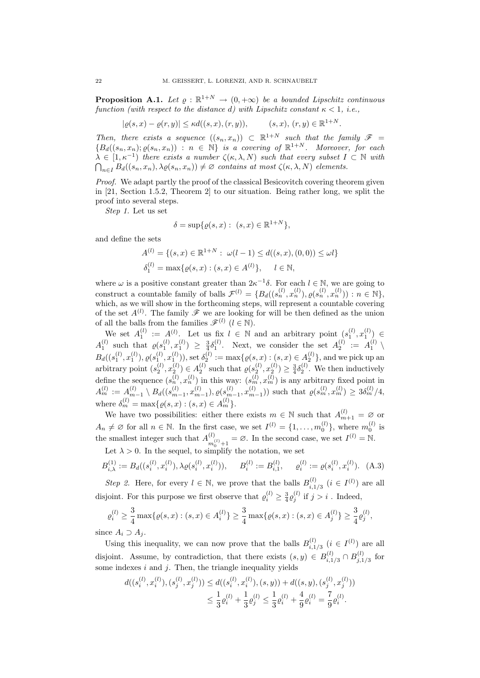**Proposition A.1.** Let  $\varrho : \mathbb{R}^{1+N} \to (0, +\infty)$  be a bounded Lipschitz continuous function (with respect to the distance d) with Lipschitz constant  $\kappa < 1$ , i.e.,

$$
|\varrho(s,x) - \varrho(r,y)| \le \kappa d((s,x),(r,y)), \qquad (s,x),(r,y) \in \mathbb{R}^{1+N}.
$$

Then, there exists a sequence  $((s_n, x_n)) \subset \mathbb{R}^{1+N}$  such that the family  $\mathscr{F}$  =  ${B_d((s_n, x_n); \varrho(s_n, x_n)) : n \in \mathbb{N}}$  is a covering of  $\mathbb{R}^{1+N}$ . Moreover, for each  $\lambda \in [1, \kappa^{-1}]$  there exists a number  $\zeta(\kappa, \lambda, N)$  such that every subset  $I \subset \mathbb{N}$  with  $\bigcap_{n\in I} B_d((s_n,x_n),\lambda \varrho(s_n,x_n)) \neq \varnothing$  contains at most  $\zeta(\kappa,\lambda,N)$  elements.

Proof. We adapt partly the proof of the classical Besicovitch covering theorem given in [21, Section 1.5.2, Theorem 2] to our situation. Being rather long, we split the proof into several steps.

Step 1. Let us set

$$
\delta = \sup \{ \varrho(s, x) : (s, x) \in \mathbb{R}^{1+N} \},
$$

and define the sets

$$
A^{(l)} = \{ (s, x) \in \mathbb{R}^{1+N} : \omega(l-1) \le d((s, x), (0, 0)) \le \omega l \}
$$
  

$$
\delta_1^{(l)} = \max \{ \varrho(s, x) : (s, x) \in A^{(l)} \}, \quad l \in \mathbb{N},
$$

where  $\omega$  is a positive constant greater than  $2\kappa^{-1}\delta$ . For each  $l \in \mathbb{N}$ , we are going to construct a countable family of balls  $\mathcal{F}^{(l)} = \{B_d((s_n^{(l)}, x_n^{(l)}), \varrho(s_n^{(l)}, x_n^{(l)})): n \in \mathbb{N}\},\$ which, as we will show in the forthcoming steps, will represent a countable covering of the set  $A^{(l)}$ . The family  $\mathscr F$  we are looking for will be then defined as the union of all the balls from the families  $\mathscr{F}^{(l)}$   $(l \in \mathbb{N})$ .

We set  $A_1^{(l)} := A^{(l)}$ . Let us fix  $l \in \mathbb{N}$  and an arbitrary point  $(s_1^{(l)}, x_1^{(l)}) \in$  $A_1^{(l)}$  such that  $\varrho(s_1^{(l)}, x_1^{(l)}) \geq \frac{3}{4} \delta_1^{(l)}$ . Next, we consider the set  $A_2^{(l)} := A_1^{(l)}$  $B_d((s_1^{(l)},x_1^{(l)}),\varrho(s_1^{(l)},x_1^{(l)})),$  set  $\delta_2^{(l)}:=\max\{\varrho(s,x):(s,x)\in A_2^{(l)}\},$  and we pick up an arbitrary point  $(s_2^{(l)}, x_2^{(l)}) \in A_2^{(l)}$  such that  $\varrho(s_2^{(l)}, x_2^{(l)}) \geq \frac{3}{4} \delta_2^{(l)}$ . We then inductively define the sequence  $(s_n^{(l)}, x_n^{(l)})$  in this way:  $(s_m^{(l)}, x_m^{(l)})$  is any arbitrary fixed point in  $A_m^{(l)} := A_{m-1}^{(l)} \setminus B_d((s_{m-1}^{(l)}, x_{m-1}^{(l)}), \varrho(s_{m-1}^{(l)}, x_{m-1}^{(l)}))$  such that  $\varrho(s_m^{(l)}, x_m^{(l)}) \geq 3\delta_m^{(l)}/4$ , where  $\delta_m^{(l)} = \max\{ \varrho(s, x) : (s, x) \in A_m^{(l)} \}.$ <br>We have two possibilities, either there exists  $m \in \mathbb{N}$  such that  $A^{(l)}$ 

We have two possibilities: either there exists  $m \in \mathbb{N}$  such that  $A_{m+1}^{(l)} = \emptyset$  or  $A_n \neq \emptyset$  for all  $n \in \mathbb{N}$ . In the first case, we set  $I^{(l)} = \{1, \ldots, m_0^{(l)}\}$ , where  $m_0^{(l)}$  is the smallest integer such that  $A^{(l)}$  $\binom{l}{m_0^{(l)}+1} = \emptyset$ . In the second case, we set  $I^{(l)} = \mathbb{N}$ .

Let  $\lambda > 0$ . In the sequel, to simplify the notation, we set

$$
B_{i,\lambda}^{(1)} := B_d((s_i^{(l)}, x_i^{(l)}), \lambda \varrho(s_i^{(l)}, x_i^{(l)})), \qquad B_i^{(l)} := B_{i,1}^{(l)}, \qquad \varrho_i^{(l)} := \varrho(s_i^{(l)}, x_i^{(l)}).
$$
 (A.3)

Step 2. Here, for every  $l \in \mathbb{N}$ , we prove that the balls  $B_{i,1}^{(l)}$  $i_{i,1/3}^{(l)}$   $(i \in I^{(l)})$  are all disjoint. For this purpose we first observe that  $\varrho_i^{(l)} \geq \frac{3}{4} \varrho_j^{(l)}$  if  $j > i$ . Indeed,

$$
\varrho_i^{(l)} \ge \frac{3}{4} \max \{ \varrho(s,x) : (s,x) \in A_i^{(l)} \} \ge \frac{3}{4} \max \{ \varrho(s,x) : (s,x) \in A_j^{(l)} \} \ge \frac{3}{4} \varrho_j^{(l)},
$$

since  $A_i \supset A_j$ .

Using this inequality, we can now prove that the balls  $B_{i,1}^{(l)}$  $i,1/3$   $(i \in I^{(l)})$  are all disjoint. Assume, by contradiction, that there exists  $(s, y) \in B_{i,1}^{(l)}$  $B^{(l)}_{i,1/3} \cap B^{(l)}_{j,1}$  $j,1/3$  for some indexes  $i$  and  $j$ . Then, the triangle inequality yields

$$
d((s_i^{(l)}, x_i^{(l)}), (s_j^{(l)}, x_j^{(l)})) \le d((s_i^{(l)}, x_i^{(l)}), (s, y)) + d((s, y), (s_j^{(l)}, x_j^{(l)}))
$$
  

$$
\le \frac{1}{3} \varrho_i^{(l)} + \frac{1}{3} \varrho_j^{(l)} \le \frac{1}{3} \varrho_i^{(l)} + \frac{4}{9} \varrho_i^{(l)} = \frac{7}{9} \varrho_i^{(l)}.
$$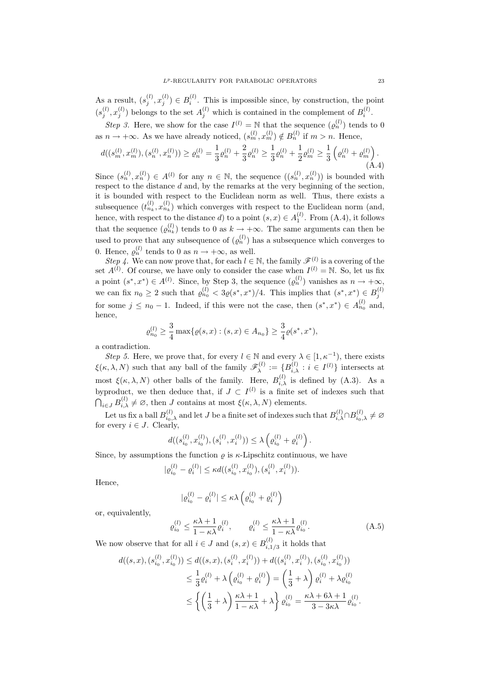As a result,  $(s_j^{(l)}, x_j^{(l)}) \in B_i^{(l)}$ . This is impossible since, by construction, the point  $(s_j^{(l)}, x_j^{(l)})$  belongs to the set  $A_j^{(l)}$  which is contained in the complement of  $B_i^{(l)}$ .

Step 3. Here, we show for the case  $I^{(l)} = N$  that the sequence  $(\varrho_n^{(l)})$  tends to 0 as  $n \to +\infty$ . As we have already noticed,  $(s_m^{(l)}, x_m^{(l)}) \notin B_n^{(l)}$  if  $m > n$ . Hence,

$$
d((s_m^{(l)}, x_m^{(l)}), (s_n^{(l)}, x_n^{(l)})) \ge \varrho_n^{(l)} = \frac{1}{3}\varrho_n^{(l)} + \frac{2}{3}\varrho_n^{(l)} \ge \frac{1}{3}\varrho_n^{(l)} + \frac{1}{2}\varrho_m^{(l)} \ge \frac{1}{3}\left(\varrho_n^{(l)} + \varrho_m^{(l)}\right). \tag{A.4}
$$

Since  $(s_n^{(l)}, x_n^{(l)}) \in A^{(l)}$  for any  $n \in \mathbb{N}$ , the sequence  $((s_n^{(l)}, x_n^{(l)}))$  is bounded with respect to the distance d and, by the remarks at the very beginning of the section, it is bounded with respect to the Euclidean norm as well. Thus, there exists a subsequence  $(t_n^{(l)}, x_{n_k}^{(l)})$  which converges with respect to the Euclidean norm (and, hence, with respect to the distance d) to a point  $(s, x) \in A_1^{(l)}$ . From  $(A.4)$ , it follows that the sequence  $(\varrho_{n_k}^{(l)})$  tends to 0 as  $k \to +\infty$ . The same arguments can then be used to prove that any subsequence of  $(\varrho_n^{(l)})$  has a subsequence which converges to 0. Hence,  $\varrho_n^{(l)}$  tends to 0 as  $n \to +\infty$ , as well.

Step 4. We can now prove that, for each  $l \in \mathbb{N}$ , the family  $\mathscr{F}^{(l)}$  is a covering of the set  $A^{(l)}$ . Of course, we have only to consider the case when  $I^{(l)} = \mathbb{N}$ . So, let us fix a point  $(s^*, x^*) \in A^{(l)}$ . Since, by Step 3, the sequence  $(\varrho_n^{(l)})$  vanishes as  $n \to +\infty$ , we can fix  $n_0 \geq 2$  such that  $\varrho_{n_0}^{(l)} < 3\varrho(s^*, x^*)/4$ . This implies that  $(s^*, x^*) \in B_j^{(l)}$ for some  $j \leq n_0 - 1$ . Indeed, if this were not the case, then  $(s^*, x^*) \in A_{n_0}^{(l)}$  and, hence,

$$
\varrho_{n_0}^{(l)} \ge \frac{3}{4} \max \{ \varrho(s,x) : (s,x) \in A_{n_0} \} \ge \frac{3}{4} \varrho(s^*, x^*),
$$

a contradiction.

Step 5. Here, we prove that, for every  $l \in \mathbb{N}$  and every  $\lambda \in [1, \kappa^{-1})$ , there exists  $\xi(\kappa, \lambda, N)$  such that any ball of the family  $\mathscr{F}_{\lambda}^{(l)}$  $\mathcal{L}_{\lambda}^{(l)} := \{B_{i,\lambda}^{(l)} : i \in I^{(l)}\}\$ intersects at most  $\xi(\kappa, \lambda, N)$  other balls of the family. Here,  $B_{i,\lambda}^{(l)}$  is defined by  $(A.3)$ . As a by product, we then deduce that, if  $J \subset I^{(l)}$  is a finite set of indexes such that  $\bigcap_{i\in J} B_{i,\lambda}^{(l)} \neq \emptyset$ , then J contains at most  $\xi(\kappa,\lambda,N)$  elements.

Let us fix a ball  $B_{i_0,\lambda}^{(l)}$  and let J be a finite set of indexes such that  $B_{i,\lambda}^{(l)} \cap B_{i_0,\lambda}^{(l)} \neq \emptyset$ for every  $i \in J$ . Clearly,

$$
d((s_{i_0}^{(l)}, x_{i_0}^{(l)}),(s_i^{(l)}, x_i^{(l)})) \leq \lambda \left(\varrho_{i_0}^{(l)} + \varrho_i^{(l)}\right).
$$

Since, by assumptions the function  $\rho$  is  $\kappa$ -Lipschitz continuous, we have

$$
|\varrho_{i_0}^{(l)} - \varrho_i^{(l)}| \le \kappa d((s_{i_0}^{(l)}, x_{i_0}^{(l)}), (s_i^{(l)}, x_i^{(l)})).
$$

Hence,

$$
|\varrho_{i_0}^{(l)} - \varrho_i^{(l)}| \le \kappa \lambda \left(\varrho_{i_0}^{(l)} + \varrho_i^{(l)}\right)
$$

or, equivalently,

$$
\varrho_{i_0}^{(l)} \le \frac{\kappa \lambda + 1}{1 - \kappa \lambda} \varrho_i^{(l)}, \qquad \varrho_i^{(l)} \le \frac{\kappa \lambda + 1}{1 - \kappa \lambda} \varrho_{i_0}^{(l)}.
$$
\n(A.5)

We now observe that for all  $i \in J$  and  $(s, x) \in B_{i, 1}^{(l)}$  $i_{i,1/3}^{(i)}$  it holds that

$$
d((s, x), (s_{i_0}^{(l)}, x_{i_0}^{(l)})) \leq d((s, x), (s_i^{(l)}, x_i^{(l)})) + d((s_i^{(l)}, x_i^{(l)}), (s_{i_0}^{(l)}, x_{i_0}^{(l)}))
$$
  

$$
\leq \frac{1}{3} \varrho_i^{(l)} + \lambda \left( \varrho_{i_0}^{(l)} + \varrho_i^{(l)} \right) = \left( \frac{1}{3} + \lambda \right) \varrho_i^{(l)} + \lambda \varrho_{i_0}^{(l)}
$$
  

$$
\leq \left\{ \left( \frac{1}{3} + \lambda \right) \frac{\kappa \lambda + 1}{1 - \kappa \lambda} + \lambda \right\} \varrho_{i_0}^{(l)} = \frac{\kappa \lambda + 6\lambda + 1}{3 - 3\kappa \lambda} \varrho_{i_0}^{(l)}.
$$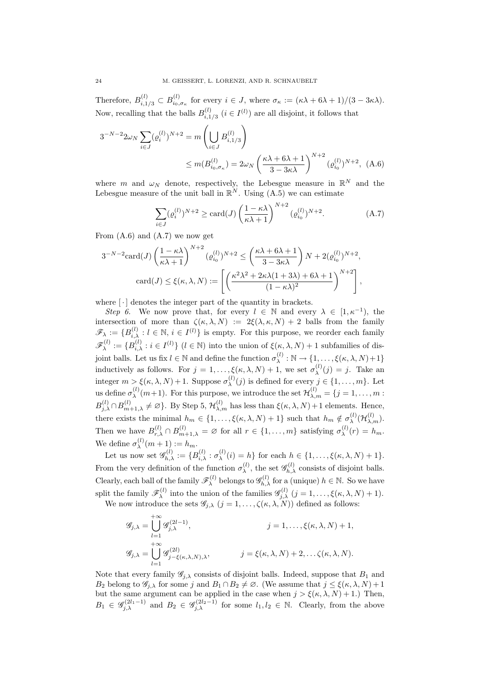Therefore,  $B_{i,1/3}^{(l)} \subset B_{i_0,\sigma_{\kappa}}^{(l)}$  for every  $i \in J$ , where  $\sigma_{\kappa} := (\kappa \lambda + 6\lambda + 1)/(3 - 3\kappa \lambda)$ . Now, recalling that the balls  $B_{i-1}^{(l)}$  $i_{i,1/3}^{(l)}$   $(i \in I^{(l)})$  are all disjoint, it follows that

$$
3^{-N-2}2\omega_N \sum_{i \in J} (e_i^{(l)})^{N+2} = m \left( \bigcup_{i \in J} B_{i,1/3}^{(l)} \right)
$$
  
 
$$
\leq m(B_{i_0,\sigma_\kappa}^{(l)}) = 2\omega_N \left( \frac{\kappa \lambda + 6\lambda + 1}{3 - 3\kappa \lambda} \right)^{N+2} (e_{i_0}^{(l)})^{N+2}, \ (A.6)
$$

where m and  $\omega_N$  denote, respectively, the Lebesgue measure in  $\mathbb{R}^N$  and the Lebesgue measure of the unit ball in  $\mathbb{R}^N$ . Using  $(A.5)$  we can estimate

$$
\sum_{i \in J} (\varrho_i^{(l)})^{N+2} \ge \text{card}(J) \left(\frac{1 - \kappa \lambda}{\kappa \lambda + 1}\right)^{N+2} (\varrho_{i_0}^{(l)})^{N+2}.
$$
 (A.7)

From  $(A.6)$  and  $(A.7)$  we now get

$$
3^{-N-2}\operatorname{card}(J)\left(\frac{1-\kappa\lambda}{\kappa\lambda+1}\right)^{N+2}(\varrho_{i_0}^{(l)})^{N+2} \le \left(\frac{\kappa\lambda+6\lambda+1}{3-3\kappa\lambda}\right)N+2(\varrho_{i_0}^{(l)})^{N+2},
$$

$$
\operatorname{card}(J) \le \xi(\kappa,\lambda,N) := \left[\left(\frac{\kappa^2\lambda^2+2\kappa\lambda(1+3\lambda)+6\lambda+1}{(1-\kappa\lambda)^2}\right)^{N+2}\right],
$$

where  $\lceil \cdot \rceil$  denotes the integer part of the quantity in brackets.

Step 6. We now prove that, for every  $l \in \mathbb{N}$  and every  $\lambda \in [1, \kappa^{-1}),$  the intersection of more than  $\zeta(\kappa, \lambda, N) := 2\xi(\lambda, \kappa, N) + 2$  balls from the family  $\mathscr{F}_{\lambda} := \{B_{i,\lambda}^{(l)} : l \in \mathbb{N}, i \in I^{(l)}\}$  is empty. For this purpose, we reorder each family  $\mathscr{F}^{(l)}_{\lambda}$  $\mathcal{L}_{\lambda}^{(l)} := \{B_{i,\lambda}^{(l)} : i \in I^{(l)}\}$   $(l \in \mathbb{N})$  into the union of  $\xi(\kappa, \lambda, N) + 1$  subfamilies of disjoint balls. Let us fix  $l \in \mathbb{N}$  and define the function  $\sigma_{\lambda}^{(l)}$  $\chi^{(l)}$  :  $\mathbb{N} \to \{1, \ldots, \xi(\kappa, \lambda, N) + 1\}$ inductively as follows. For  $j = 1, ..., \xi(\kappa, \lambda, N) + 1$ , we set  $\sigma_{\lambda}^{(l)}$  $\lambda^{(i)}(j) = j$ . Take an integer  $m > \xi(\kappa, \lambda, N) + 1$ . Suppose  $\sigma_{\lambda}^{(l)}$  $\lambda^{(i)}(j)$  is defined for every  $j \in \{1, \ldots, m\}$ . Let us define  $\sigma_{\lambda}^{(l)}$  $\lambda^{(l)}(m+1)$ . For this purpose, we introduce the set  $\mathcal{H}_{\lambda,m}^{(l)} = \{j = 1,\ldots,m\}$  $B^{(l)}_{j,\lambda} \cap B^{(l)}_{m+1,\lambda} \neq \varnothing$ . By Step 5,  $\mathcal{H}_{\lambda,m}^{(l)}$  has less than  $\xi(\kappa,\lambda,N)+1$  elements. Hence, there exists the minimal  $h_m \in \{1, \ldots, \xi(\kappa, \lambda, N) + 1\}$  such that  $h_m \notin \sigma_{\lambda}^{(l)}$  $\chi^{(l)}({\cal H}_{\lambda,m}^{(l)}).$ Then we have  $B_{r,\lambda}^{(l)} \cap B_{m+1,\lambda}^{(l)} = \emptyset$  for all  $r \in \{1,\ldots,m\}$  satisfying  $\sigma_{\lambda}^{(l)}$  $\lambda^{(l)}(r) = h_m.$ We define  $\sigma_{\lambda}^{(l)}(m+1) := h_m$ . λ

Let us now set  $\mathscr{G}_{h,\lambda}^{(l)} := \{B_{i,\lambda}^{(l)} : \sigma_{\lambda}^{(l)}\}$  $\lambda^{(i)}(\iota) = h$ } for each  $h \in \{1, \ldots, \xi(\kappa, \lambda, N) + 1\}.$ From the very definition of the function  $\sigma_{\lambda}^{(l)}$  $\mathcal{L}_{\lambda}^{(l)}$ , the set  $\mathcal{G}_{h,\lambda}^{(l)}$  consists of disjoint balls. Clearly, each ball of the family  $\mathscr{F}_{\lambda}^{(l)}$ <sup>(l)</sup> belongs to  $\mathscr{G}_{h,\lambda}^{(l)}$  for a (unique)  $h \in \mathbb{N}$ . So we have split the family  $\mathscr{F}_{\lambda}^{(l)}$  $\mathcal{L}_{\lambda}^{(l)}$  into the union of the families  $\mathscr{G}_{j,\lambda}^{(l)}$   $(j = 1, \ldots, \xi(\kappa, \lambda, N) + 1)$ . We now introduce the sets  $\mathscr{G}_{j,\lambda}$   $(j = 1, \ldots, \zeta(\kappa, \lambda, N))$  defined as follows:

> $\mathscr{G}_{j,\lambda} =$  $\bigcup_{i=1}^{+\infty} \mathscr{G}_{i,\lambda}^{(2l-1)}$  $_{l=1}$  $j=1,\ldots,\xi(\kappa,\lambda,N)+1,$ <br>  $j=1,\ldots,\xi(\kappa,\lambda,N)+1,$  $\mathscr{G}_{j,\lambda} =$  $+ \infty$  $_{l=1}$  $\mathscr{G}_{j-\xi(\kappa,\lambda,N),\lambda}^{(2l)},$   $j = \xi(\kappa,\lambda,N) + 2, \ldots \zeta(\kappa,\lambda,N).$

Note that every family  $\mathscr{G}_{i,\lambda}$  consists of disjoint balls. Indeed, suppose that  $B_1$  and  $B_2$  belong to  $\mathscr{G}_{i,\lambda}$  for some j and  $B_1 \cap B_2 \neq \emptyset$ . (We assume that  $j \leq \xi(\kappa, \lambda, N) + 1$ but the same argument can be applied in the case when  $j > \xi(\kappa, \lambda, N) + 1$ .) Then,  $B_1 \in \mathscr{G}_{j,\lambda}^{(2l_1-1)}$  and  $B_2 \in \mathscr{G}_{j,\lambda}^{(2l_2-1)}$  for some  $l_1, l_2 \in \mathbb{N}$ . Clearly, from the above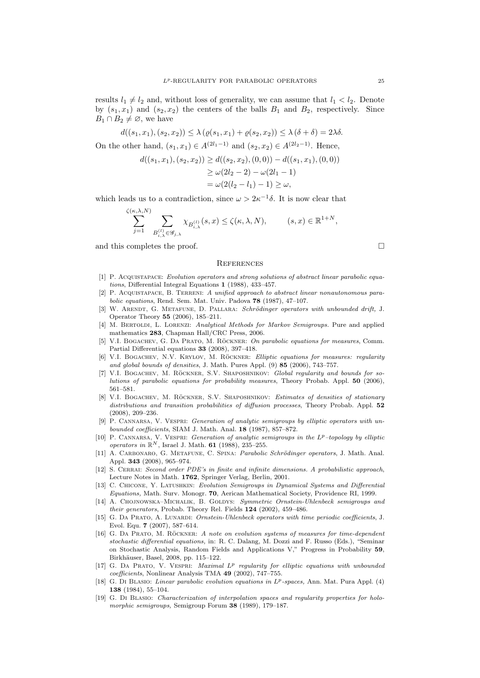results  $l_1 \neq l_2$  and, without loss of generality, we can assume that  $l_1 < l_2$ . Denote by  $(s_1, x_1)$  and  $(s_2, x_2)$  the centers of the balls  $B_1$  and  $B_2$ , respectively. Since  $B_1 \cap B_2 \neq \emptyset$ , we have

 $=\omega(2(l_2 - l_1) - 1) \geq \omega,$ 

$$
d((s_1, x_1), (s_2, x_2)) \le \lambda (\varrho(s_1, x_1) + \varrho(s_2, x_2)) \le \lambda (\delta + \delta) = 2\lambda \delta.
$$
  
On the other hand,  $(s_1, x_1) \in A^{(2l_1 - 1)}$  and  $(s_2, x_2) \in A^{(2l_2 - 1)}$ . Hence,  

$$
d((s_1, x_1), (s_2, x_2)) \ge d((s_2, x_2), (0, 0)) - d((s_1, x_1), (0, 0))
$$

$$
\ge \omega(2l_2 - 2) - \omega(2l_1 - 1)
$$

which leads us to a contradiction, since 
$$
\omega > 2\kappa^{-1}\delta
$$
. It is now clear that

$$
\sum_{j=1}^{\zeta(\kappa,\lambda,N)} \sum_{B_{i,\lambda}^{(l)} \in \mathscr{G}_{j,\lambda}} \chi_{B_{i,\lambda}^{(l)}}(s,x) \leq \zeta(\kappa,\lambda,N), \qquad (s,x) \in \mathbb{R}^{1+N},
$$

and this completes the proof.  $\Box$ 

#### **REFERENCES**

- [1] P. Acquistapace: Evolution operators and strong solutions of abstract linear parabolic equations, Differential Integral Equations 1 (1988), 433–457.
- [2] P. ACQUISTAPACE, B. TERRENI: A unified approach to abstract linear nonautonomous parabolic equations, Rend. Sem. Mat. Univ. Padova 78 (1987), 47–107.
- [3] W. ARENDT, G. METAFUNE, D. PALLARA: Schrödinger operators with unbounded drift, J. Operator Theory 55 (2006), 185–211.
- [4] M. BERTOLDI, L. LORENZI: Analytical Methods for Markov Semigroups. Pure and applied mathematics 283, Chapman Hall/CRC Press, 2006.
- [5] V.I. BOGACHEV, G. DA PRATO, M. RÖCKNER: On parabolic equations for measures, Comm. Partial Differential equations 33 (2008), 397–418.
- [6] V.I. BOGACHEV, N.V. KRYLOV, M. ROCKNER: Elliptic equations for measures: regularity and global bounds of densities, J. Math. Pures Appl. (9) 85 (2006), 743–757.
- [7] V.I. BOGACHEV, M. RÖCKNER, S.V. SHAPOSHNIKOV: Global regularity and bounds for solutions of parabolic equations for probability measures, Theory Probab. Appl. 50 (2006), 561–581.
- [8] V.I. BOGACHEV, M. RÖCKNER, S.V. SHAPOSHNIKOV: Estimates of densities of stationary distributions and transition probabilities of diffusion processes, Theory Probab. Appl. 52 (2008), 209–236.
- [9] P. CANNARSA, V. VESPRI: *Generation of analytic semigroups by elliptic operators with un*bounded coefficients, SIAM J. Math. Anal.  $18$  (1987), 857–872.
- [10] P. CANNARSA, V. VESPRI: Generation of analytic semigroups in the  $L^p$ -topology by elliptic operators in  $\mathbb{R}^N$ , Israel J. Math. 61 (1988), 235–255.
- [11] A. CARBONARO, G. METAFUNE, C. SPINA: Parabolic Schrödinger operators, J. Math. Anal. Appl. 343 (2008), 965–974.
- [12] S. CERRAI: Second order PDE's in finite and infinite dimensions. A probabilistic approach, Lecture Notes in Math. 1762, Springer Verlag, Berlin, 2001.
- [13] C. Chicone, Y. Latushkin: Evolution Semigroups in Dynamical Systems and Differential Equations, Math. Surv. Monogr. 70, Aerican Mathematical Society, Providence RI, 1999.
- [14] A. CHOJNOWSKA–MICHALIK, B. GOLDYS: Symmetric Ornstein-Uhlenbeck semigroups and their generators, Probab. Theory Rel. Fields 124 (2002), 459–486.
- [15] G. DA PRATO, A. LUNARDI: *Ornstein-Uhlenbeck operators with time periodic coefficients*, J. Evol. Equ. 7 (2007), 587–614.
- [16] G. DA PRATO, M. RÖCKNER: A note on evolution systems of measures for time-dependent stochastic differential equations, in: R. C. Dalang, M. Dozzi and F. Russo (Eds.), "Seminar on Stochastic Analysis, Random Fields and Applications V," Progress in Probability 59, Birkhäuser, Basel, 2008, pp. 115–122.
- [17] G. DA PRATO, V. VESPRI: Maximal  $L^p$  regularity for elliptic equations with unbounded coefficients, Nonlinear Analysis TMA 49 (2002), 747–755.
- [18] G. Di BLASIO: Linear parabolic evolution equations in  $L^p$ -spaces, Ann. Mat. Pura Appl. (4) 138 (1984), 55–104.
- [19] G. Di Blasio: Characterization of interpolation spaces and regularity properties for holomorphic semigroups, Semigroup Forum 38 (1989), 179-187.